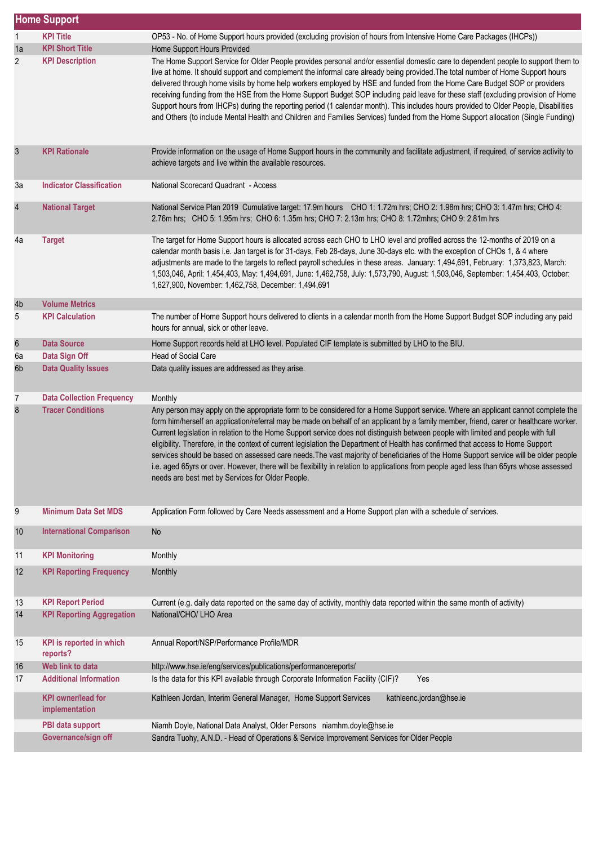|                  | <b>Home Support</b>                         |                                                                                                                                                                                                                                                                                                                                                                                                                                                                                                                                                                                                                                                                                                                                                                                                                                                                                            |
|------------------|---------------------------------------------|--------------------------------------------------------------------------------------------------------------------------------------------------------------------------------------------------------------------------------------------------------------------------------------------------------------------------------------------------------------------------------------------------------------------------------------------------------------------------------------------------------------------------------------------------------------------------------------------------------------------------------------------------------------------------------------------------------------------------------------------------------------------------------------------------------------------------------------------------------------------------------------------|
| 1                | <b>KPI Title</b>                            | OP53 - No. of Home Support hours provided (excluding provision of hours from Intensive Home Care Packages (IHCPs))                                                                                                                                                                                                                                                                                                                                                                                                                                                                                                                                                                                                                                                                                                                                                                         |
| 1a               | <b>KPI Short Title</b>                      | Home Support Hours Provided                                                                                                                                                                                                                                                                                                                                                                                                                                                                                                                                                                                                                                                                                                                                                                                                                                                                |
| $\overline{2}$   | <b>KPI Description</b>                      | The Home Support Service for Older People provides personal and/or essential domestic care to dependent people to support them to<br>live at home. It should support and complement the informal care already being provided. The total number of Home Support hours<br>delivered through home visits by home help workers employed by HSE and funded from the Home Care Budget SOP or providers<br>receiving funding from the HSE from the Home Support Budget SOP including paid leave for these staff (excluding provision of Home<br>Support hours from IHCPs) during the reporting period (1 calendar month). This includes hours provided to Older People, Disabilities<br>and Others (to include Mental Health and Children and Families Services) funded from the Home Support allocation (Single Funding)                                                                         |
| 3                | <b>KPI Rationale</b>                        | Provide information on the usage of Home Support hours in the community and facilitate adjustment, if required, of service activity to<br>achieve targets and live within the available resources.                                                                                                                                                                                                                                                                                                                                                                                                                                                                                                                                                                                                                                                                                         |
| 3a               | <b>Indicator Classification</b>             | National Scorecard Quadrant - Access                                                                                                                                                                                                                                                                                                                                                                                                                                                                                                                                                                                                                                                                                                                                                                                                                                                       |
| $\overline{4}$   | <b>National Target</b>                      | National Service Plan 2019 Cumulative target: 17.9m hours CHO 1: 1.72m hrs; CHO 2: 1.98m hrs; CHO 3: 1.47m hrs; CHO 4:<br>2.76m hrs; CHO 5: 1.95m hrs; CHO 6: 1.35m hrs; CHO 7: 2.13m hrs; CHO 8: 1.72mhrs; CHO 9: 2.81m hrs                                                                                                                                                                                                                                                                                                                                                                                                                                                                                                                                                                                                                                                               |
| 4a               | <b>Target</b>                               | The target for Home Support hours is allocated across each CHO to LHO level and profiled across the 12-months of 2019 on a<br>calendar month basis i.e. Jan target is for 31-days, Feb 28-days, June 30-days etc. with the exception of CHOs 1, & 4 where<br>adjustments are made to the targets to reflect payroll schedules in these areas. January: 1,494,691, February: 1,373,823, March:<br>1,503,046, April: 1,454,403, May: 1,494,691, June: 1,462,758, July: 1,573,790, August: 1,503,046, September: 1,454,403, October:<br>1,627,900, November: 1,462,758, December: 1,494,691                                                                                                                                                                                                                                                                                                   |
| 4b               | <b>Volume Metrics</b>                       |                                                                                                                                                                                                                                                                                                                                                                                                                                                                                                                                                                                                                                                                                                                                                                                                                                                                                            |
| 5                | <b>KPI Calculation</b>                      | The number of Home Support hours delivered to clients in a calendar month from the Home Support Budget SOP including any paid<br>hours for annual, sick or other leave.                                                                                                                                                                                                                                                                                                                                                                                                                                                                                                                                                                                                                                                                                                                    |
| $\boldsymbol{6}$ | <b>Data Source</b>                          | Home Support records held at LHO level. Populated CIF template is submitted by LHO to the BIU.                                                                                                                                                                                                                                                                                                                                                                                                                                                                                                                                                                                                                                                                                                                                                                                             |
| 6a               | Data Sign Off                               | <b>Head of Social Care</b>                                                                                                                                                                                                                                                                                                                                                                                                                                                                                                                                                                                                                                                                                                                                                                                                                                                                 |
| 6 <sub>b</sub>   | <b>Data Quality Issues</b>                  | Data quality issues are addressed as they arise.                                                                                                                                                                                                                                                                                                                                                                                                                                                                                                                                                                                                                                                                                                                                                                                                                                           |
| 7                | <b>Data Collection Frequency</b>            | Monthly                                                                                                                                                                                                                                                                                                                                                                                                                                                                                                                                                                                                                                                                                                                                                                                                                                                                                    |
| $\bf 8$          | <b>Tracer Conditions</b>                    | Any person may apply on the appropriate form to be considered for a Home Support service. Where an applicant cannot complete the<br>form him/herself an application/referral may be made on behalf of an applicant by a family member, friend, carer or healthcare worker.<br>Current legislation in relation to the Home Support service does not distinguish between people with limited and people with full<br>eligibility. Therefore, in the context of current legislation the Department of Health has confirmed that access to Home Support<br>services should be based on assessed care needs. The vast majority of beneficiaries of the Home Support service will be older people<br>i.e. aged 65yrs or over. However, there will be flexibility in relation to applications from people aged less than 65yrs whose assessed<br>needs are best met by Services for Older People. |
| 9                | <b>Minimum Data Set MDS</b>                 | Application Form followed by Care Needs assessment and a Home Support plan with a schedule of services.                                                                                                                                                                                                                                                                                                                                                                                                                                                                                                                                                                                                                                                                                                                                                                                    |
| 10               | <b>International Comparison</b>             | <b>No</b>                                                                                                                                                                                                                                                                                                                                                                                                                                                                                                                                                                                                                                                                                                                                                                                                                                                                                  |
| 11               | <b>KPI Monitoring</b>                       | Monthly                                                                                                                                                                                                                                                                                                                                                                                                                                                                                                                                                                                                                                                                                                                                                                                                                                                                                    |
| 12               | <b>KPI Reporting Frequency</b>              | Monthly                                                                                                                                                                                                                                                                                                                                                                                                                                                                                                                                                                                                                                                                                                                                                                                                                                                                                    |
| 13               | <b>KPI Report Period</b>                    | Current (e.g. daily data reported on the same day of activity, monthly data reported within the same month of activity)                                                                                                                                                                                                                                                                                                                                                                                                                                                                                                                                                                                                                                                                                                                                                                    |
| 14               | <b>KPI Reporting Aggregation</b>            | National/CHO/ LHO Area                                                                                                                                                                                                                                                                                                                                                                                                                                                                                                                                                                                                                                                                                                                                                                                                                                                                     |
| 15               | <b>KPI</b> is reported in which<br>reports? | Annual Report/NSP/Performance Profile/MDR                                                                                                                                                                                                                                                                                                                                                                                                                                                                                                                                                                                                                                                                                                                                                                                                                                                  |
| 16               | Web link to data                            | http://www.hse.ie/eng/services/publications/performancereports/                                                                                                                                                                                                                                                                                                                                                                                                                                                                                                                                                                                                                                                                                                                                                                                                                            |
| 17               | <b>Additional Information</b>               | Is the data for this KPI available through Corporate Information Facility (CIF)?<br>Yes                                                                                                                                                                                                                                                                                                                                                                                                                                                                                                                                                                                                                                                                                                                                                                                                    |
|                  | <b>KPI owner/lead for</b><br>implementation | Kathleen Jordan, Interim General Manager, Home Support Services<br>kathleenc.jordan@hse.ie                                                                                                                                                                                                                                                                                                                                                                                                                                                                                                                                                                                                                                                                                                                                                                                                 |
|                  | PBI data support                            | Niamh Doyle, National Data Analyst, Older Persons niamhm.doyle@hse.ie                                                                                                                                                                                                                                                                                                                                                                                                                                                                                                                                                                                                                                                                                                                                                                                                                      |
|                  | Governance/sign off                         | Sandra Tuohy, A.N.D. - Head of Operations & Service Improvement Services for Older People                                                                                                                                                                                                                                                                                                                                                                                                                                                                                                                                                                                                                                                                                                                                                                                                  |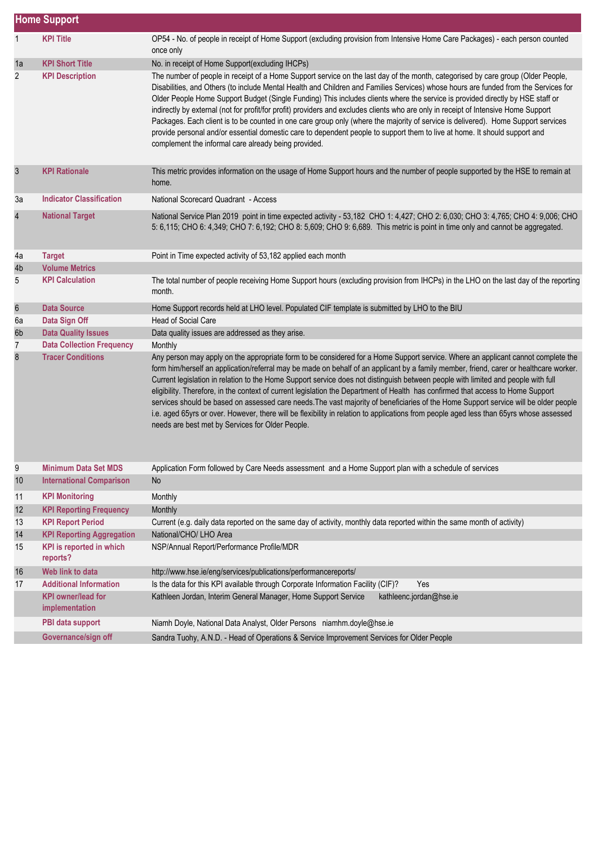|                  | <b>Home Support</b>                         |                                                                                                                                                                                                                                                                                                                                                                                                                                                                                                                                                                                                                                                                                                                                                                                                                                                                                            |  |  |
|------------------|---------------------------------------------|--------------------------------------------------------------------------------------------------------------------------------------------------------------------------------------------------------------------------------------------------------------------------------------------------------------------------------------------------------------------------------------------------------------------------------------------------------------------------------------------------------------------------------------------------------------------------------------------------------------------------------------------------------------------------------------------------------------------------------------------------------------------------------------------------------------------------------------------------------------------------------------------|--|--|
| 1                | <b>KPI Title</b>                            | OP54 - No. of people in receipt of Home Support (excluding provision from Intensive Home Care Packages) - each person counted<br>once only                                                                                                                                                                                                                                                                                                                                                                                                                                                                                                                                                                                                                                                                                                                                                 |  |  |
| 1a               | <b>KPI Short Title</b>                      | No. in receipt of Home Support(excluding IHCPs)                                                                                                                                                                                                                                                                                                                                                                                                                                                                                                                                                                                                                                                                                                                                                                                                                                            |  |  |
| $\overline{2}$   | <b>KPI Description</b>                      | The number of people in receipt of a Home Support service on the last day of the month, categorised by care group (Older People,<br>Disabilities, and Others (to include Mental Health and Children and Families Services) whose hours are funded from the Services for<br>Older People Home Support Budget (Single Funding) This includes clients where the service is provided directly by HSE staff or<br>indirectly by external (not for profit/for profit) providers and excludes clients who are only in receipt of Intensive Home Support<br>Packages. Each client is to be counted in one care group only (where the majority of service is delivered). Home Support services<br>provide personal and/or essential domestic care to dependent people to support them to live at home. It should support and<br>complement the informal care already being provided.                |  |  |
| $\mathsf 3$      | <b>KPI Rationale</b>                        | This metric provides information on the usage of Home Support hours and the number of people supported by the HSE to remain at<br>home.                                                                                                                                                                                                                                                                                                                                                                                                                                                                                                                                                                                                                                                                                                                                                    |  |  |
| Зa               | <b>Indicator Classification</b>             | National Scorecard Quadrant - Access                                                                                                                                                                                                                                                                                                                                                                                                                                                                                                                                                                                                                                                                                                                                                                                                                                                       |  |  |
| $\overline{4}$   | <b>National Target</b>                      | National Service Plan 2019 point in time expected activity - 53,182 CHO 1: 4,427; CHO 2: 6,030; CHO 3: 4,765; CHO 4: 9,006; CHO<br>5: 6,115; CHO 6: 4,349; CHO 7: 6,192; CHO 8: 5,609; CHO 9: 6,689. This metric is point in time only and cannot be aggregated.                                                                                                                                                                                                                                                                                                                                                                                                                                                                                                                                                                                                                           |  |  |
| 4a               | <b>Target</b>                               | Point in Time expected activity of 53,182 applied each month                                                                                                                                                                                                                                                                                                                                                                                                                                                                                                                                                                                                                                                                                                                                                                                                                               |  |  |
| 4b               | <b>Volume Metrics</b>                       |                                                                                                                                                                                                                                                                                                                                                                                                                                                                                                                                                                                                                                                                                                                                                                                                                                                                                            |  |  |
| 5                | <b>KPI Calculation</b>                      | The total number of people receiving Home Support hours (excluding provision from IHCPs) in the LHO on the last day of the reporting<br>month.                                                                                                                                                                                                                                                                                                                                                                                                                                                                                                                                                                                                                                                                                                                                             |  |  |
| $\boldsymbol{6}$ | <b>Data Source</b>                          | Home Support records held at LHO level. Populated CIF template is submitted by LHO to the BIU                                                                                                                                                                                                                                                                                                                                                                                                                                                                                                                                                                                                                                                                                                                                                                                              |  |  |
| 6a               | Data Sign Off                               | <b>Head of Social Care</b>                                                                                                                                                                                                                                                                                                                                                                                                                                                                                                                                                                                                                                                                                                                                                                                                                                                                 |  |  |
| 6b               | <b>Data Quality Issues</b>                  | Data quality issues are addressed as they arise.                                                                                                                                                                                                                                                                                                                                                                                                                                                                                                                                                                                                                                                                                                                                                                                                                                           |  |  |
| 7                | <b>Data Collection Frequency</b>            | Monthly                                                                                                                                                                                                                                                                                                                                                                                                                                                                                                                                                                                                                                                                                                                                                                                                                                                                                    |  |  |
| 8                | <b>Tracer Conditions</b>                    | Any person may apply on the appropriate form to be considered for a Home Support service. Where an applicant cannot complete the<br>form him/herself an application/referral may be made on behalf of an applicant by a family member, friend, carer or healthcare worker.<br>Current legislation in relation to the Home Support service does not distinguish between people with limited and people with full<br>eligibility. Therefore, in the context of current legislation the Department of Health has confirmed that access to Home Support<br>services should be based on assessed care needs. The vast majority of beneficiaries of the Home Support service will be older people<br>i.e. aged 65yrs or over. However, there will be flexibility in relation to applications from people aged less than 65yrs whose assessed<br>needs are best met by Services for Older People. |  |  |
| 9                | <b>Minimum Data Set MDS</b>                 | Application Form followed by Care Needs assessment and a Home Support plan with a schedule of services                                                                                                                                                                                                                                                                                                                                                                                                                                                                                                                                                                                                                                                                                                                                                                                     |  |  |
| $10$             | <b>International Comparison</b>             | <b>No</b>                                                                                                                                                                                                                                                                                                                                                                                                                                                                                                                                                                                                                                                                                                                                                                                                                                                                                  |  |  |
| 11               | <b>KPI Monitoring</b>                       | Monthly                                                                                                                                                                                                                                                                                                                                                                                                                                                                                                                                                                                                                                                                                                                                                                                                                                                                                    |  |  |
| 12               | <b>KPI Reporting Frequency</b>              | Monthly                                                                                                                                                                                                                                                                                                                                                                                                                                                                                                                                                                                                                                                                                                                                                                                                                                                                                    |  |  |
| 13               | <b>KPI Report Period</b>                    | Current (e.g. daily data reported on the same day of activity, monthly data reported within the same month of activity)                                                                                                                                                                                                                                                                                                                                                                                                                                                                                                                                                                                                                                                                                                                                                                    |  |  |
| 14               | <b>KPI Reporting Aggregation</b>            | National/CHO/ LHO Area                                                                                                                                                                                                                                                                                                                                                                                                                                                                                                                                                                                                                                                                                                                                                                                                                                                                     |  |  |
| 15               | KPI is reported in which<br>reports?        | NSP/Annual Report/Performance Profile/MDR                                                                                                                                                                                                                                                                                                                                                                                                                                                                                                                                                                                                                                                                                                                                                                                                                                                  |  |  |
| 16               | Web link to data                            | http://www.hse.ie/eng/services/publications/performancereports/                                                                                                                                                                                                                                                                                                                                                                                                                                                                                                                                                                                                                                                                                                                                                                                                                            |  |  |
| 17               | <b>Additional Information</b>               | Is the data for this KPI available through Corporate Information Facility (CIF)?<br>Yes                                                                                                                                                                                                                                                                                                                                                                                                                                                                                                                                                                                                                                                                                                                                                                                                    |  |  |
|                  | <b>KPI</b> owner/lead for<br>implementation | Kathleen Jordan, Interim General Manager, Home Support Service<br>kathleenc.jordan@hse.ie                                                                                                                                                                                                                                                                                                                                                                                                                                                                                                                                                                                                                                                                                                                                                                                                  |  |  |
|                  | PBI data support                            | Niamh Doyle, National Data Analyst, Older Persons niamhm.doyle@hse.ie                                                                                                                                                                                                                                                                                                                                                                                                                                                                                                                                                                                                                                                                                                                                                                                                                      |  |  |
|                  | Governance/sign off                         | Sandra Tuohy, A.N.D. - Head of Operations & Service Improvement Services for Older People                                                                                                                                                                                                                                                                                                                                                                                                                                                                                                                                                                                                                                                                                                                                                                                                  |  |  |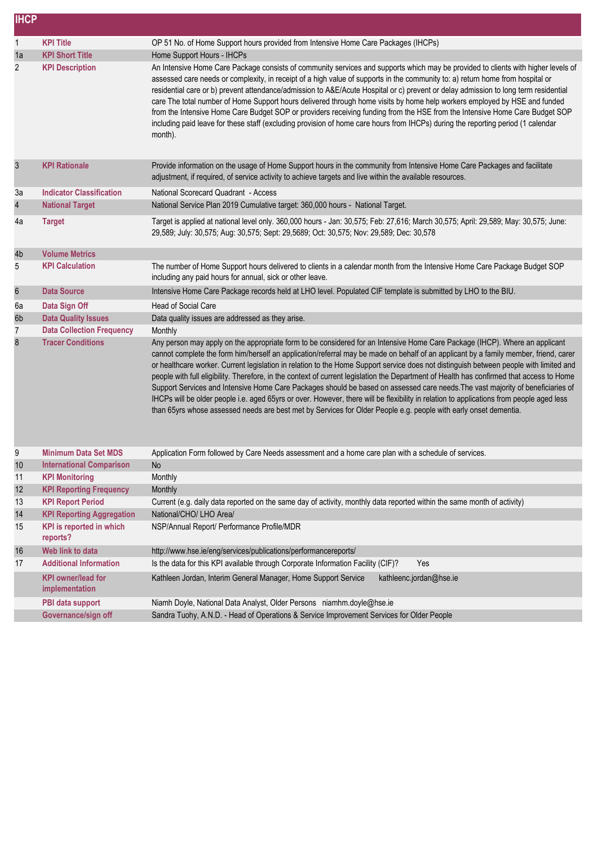| <b>IHCP</b>      |                                             |                                                                                                                                                                                                                                                                                                                                                                                                                                                                                                                                                                                                                                                                                                                                                                                                                                                                                                                                                               |
|------------------|---------------------------------------------|---------------------------------------------------------------------------------------------------------------------------------------------------------------------------------------------------------------------------------------------------------------------------------------------------------------------------------------------------------------------------------------------------------------------------------------------------------------------------------------------------------------------------------------------------------------------------------------------------------------------------------------------------------------------------------------------------------------------------------------------------------------------------------------------------------------------------------------------------------------------------------------------------------------------------------------------------------------|
| $\mathbf{1}$     | <b>KPI Title</b>                            | OP 51 No. of Home Support hours provided from Intensive Home Care Packages (IHCPs)                                                                                                                                                                                                                                                                                                                                                                                                                                                                                                                                                                                                                                                                                                                                                                                                                                                                            |
| 1a               | <b>KPI Short Title</b>                      | Home Support Hours - IHCPs                                                                                                                                                                                                                                                                                                                                                                                                                                                                                                                                                                                                                                                                                                                                                                                                                                                                                                                                    |
| 2                | <b>KPI Description</b>                      | An Intensive Home Care Package consists of community services and supports which may be provided to clients with higher levels of<br>assessed care needs or complexity, in receipt of a high value of supports in the community to: a) return home from hospital or<br>residential care or b) prevent attendance/admission to A&E/Acute Hospital or c) prevent or delay admission to long term residential<br>care The total number of Home Support hours delivered through home visits by home help workers employed by HSE and funded<br>from the Intensive Home Care Budget SOP or providers receiving funding from the HSE from the Intensive Home Care Budget SOP<br>including paid leave for these staff (excluding provision of home care hours from IHCPs) during the reporting period (1 calendar<br>month).                                                                                                                                         |
| 3                | <b>KPI Rationale</b>                        | Provide information on the usage of Home Support hours in the community from Intensive Home Care Packages and facilitate<br>adjustment, if required, of service activity to achieve targets and live within the available resources.                                                                                                                                                                                                                                                                                                                                                                                                                                                                                                                                                                                                                                                                                                                          |
| Зa               | <b>Indicator Classification</b>             | National Scorecard Quadrant - Access                                                                                                                                                                                                                                                                                                                                                                                                                                                                                                                                                                                                                                                                                                                                                                                                                                                                                                                          |
| 4                | <b>National Target</b>                      | National Service Plan 2019 Cumulative target: 360,000 hours - National Target.                                                                                                                                                                                                                                                                                                                                                                                                                                                                                                                                                                                                                                                                                                                                                                                                                                                                                |
| 4a               | <b>Target</b>                               | Target is applied at national level only. 360,000 hours - Jan: 30,575; Feb: 27,616; March 30,575; April: 29,589; May: 30,575; June:<br>29,589; July: 30,575; Aug: 30,575; Sept: 29,5689; Oct: 30,575; Nov: 29,589; Dec: 30,578                                                                                                                                                                                                                                                                                                                                                                                                                                                                                                                                                                                                                                                                                                                                |
| 4b               | <b>Volume Metrics</b>                       |                                                                                                                                                                                                                                                                                                                                                                                                                                                                                                                                                                                                                                                                                                                                                                                                                                                                                                                                                               |
| 5                | <b>KPI Calculation</b>                      | The number of Home Support hours delivered to clients in a calendar month from the Intensive Home Care Package Budget SOP<br>including any paid hours for annual, sick or other leave.                                                                                                                                                                                                                                                                                                                                                                                                                                                                                                                                                                                                                                                                                                                                                                        |
| $\boldsymbol{6}$ | <b>Data Source</b>                          | Intensive Home Care Package records held at LHO level. Populated CIF template is submitted by LHO to the BIU.                                                                                                                                                                                                                                                                                                                                                                                                                                                                                                                                                                                                                                                                                                                                                                                                                                                 |
| 6a               | Data Sign Off                               | Head of Social Care                                                                                                                                                                                                                                                                                                                                                                                                                                                                                                                                                                                                                                                                                                                                                                                                                                                                                                                                           |
| 6b               | <b>Data Quality Issues</b>                  | Data quality issues are addressed as they arise.                                                                                                                                                                                                                                                                                                                                                                                                                                                                                                                                                                                                                                                                                                                                                                                                                                                                                                              |
| $\overline{7}$   | <b>Data Collection Frequency</b>            | Monthly                                                                                                                                                                                                                                                                                                                                                                                                                                                                                                                                                                                                                                                                                                                                                                                                                                                                                                                                                       |
| 8                | <b>Tracer Conditions</b>                    | Any person may apply on the appropriate form to be considered for an Intensive Home Care Package (IHCP). Where an applicant<br>cannot complete the form him/herself an application/referral may be made on behalf of an applicant by a family member, friend, carer<br>or healthcare worker. Current legislation in relation to the Home Support service does not distinguish between people with limited and<br>people with full eligibility. Therefore, in the context of current legislation the Department of Health has confirmed that access to Home<br>Support Services and Intensive Home Care Packages should be based on assessed care needs. The vast majority of beneficiaries of<br>IHCPs will be older people i.e. aged 65yrs or over. However, there will be flexibility in relation to applications from people aged less<br>than 65yrs whose assessed needs are best met by Services for Older People e.g. people with early onset dementia. |
| 9                | <b>Minimum Data Set MDS</b>                 | Application Form followed by Care Needs assessment and a home care plan with a schedule of services.                                                                                                                                                                                                                                                                                                                                                                                                                                                                                                                                                                                                                                                                                                                                                                                                                                                          |
| 10               | <b>International Comparison</b>             | <b>No</b>                                                                                                                                                                                                                                                                                                                                                                                                                                                                                                                                                                                                                                                                                                                                                                                                                                                                                                                                                     |
| 11               | <b>KPI Monitoring</b>                       | Monthly                                                                                                                                                                                                                                                                                                                                                                                                                                                                                                                                                                                                                                                                                                                                                                                                                                                                                                                                                       |
| 12               | <b>KPI Reporting Frequency</b>              | Monthly                                                                                                                                                                                                                                                                                                                                                                                                                                                                                                                                                                                                                                                                                                                                                                                                                                                                                                                                                       |
| 13               | <b>KPI Report Period</b>                    | Current (e.g. daily data reported on the same day of activity, monthly data reported within the same month of activity)                                                                                                                                                                                                                                                                                                                                                                                                                                                                                                                                                                                                                                                                                                                                                                                                                                       |
| 14               | <b>KPI Reporting Aggregation</b>            | National/CHO/ LHO Area/                                                                                                                                                                                                                                                                                                                                                                                                                                                                                                                                                                                                                                                                                                                                                                                                                                                                                                                                       |
| 15               | <b>KPI</b> is reported in which<br>reports? | NSP/Annual Report/ Performance Profile/MDR                                                                                                                                                                                                                                                                                                                                                                                                                                                                                                                                                                                                                                                                                                                                                                                                                                                                                                                    |
| 16               | Web link to data                            | http://www.hse.ie/eng/services/publications/performancereports/                                                                                                                                                                                                                                                                                                                                                                                                                                                                                                                                                                                                                                                                                                                                                                                                                                                                                               |
| 17               | <b>Additional Information</b>               | Is the data for this KPI available through Corporate Information Facility (CIF)?<br>Yes                                                                                                                                                                                                                                                                                                                                                                                                                                                                                                                                                                                                                                                                                                                                                                                                                                                                       |
|                  | <b>KPI</b> owner/lead for<br>implementation | Kathleen Jordan, Interim General Manager, Home Support Service<br>kathleenc.jordan@hse.ie                                                                                                                                                                                                                                                                                                                                                                                                                                                                                                                                                                                                                                                                                                                                                                                                                                                                     |
|                  | PBI data support                            | Niamh Doyle, National Data Analyst, Older Persons niamhm.doyle@hse.ie                                                                                                                                                                                                                                                                                                                                                                                                                                                                                                                                                                                                                                                                                                                                                                                                                                                                                         |
|                  | Governance/sign off                         | Sandra Tuohy, A.N.D. - Head of Operations & Service Improvement Services for Older People                                                                                                                                                                                                                                                                                                                                                                                                                                                                                                                                                                                                                                                                                                                                                                                                                                                                     |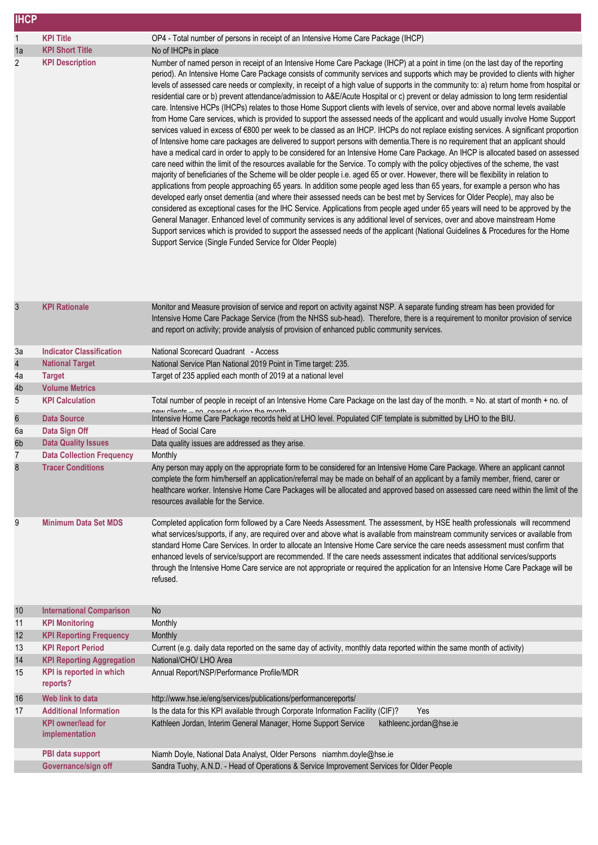| <b>IHCP</b>          |                                                                |                                                                                                                                                                                                                                                                                                                                                                                                                                                                                                                                                                                                                                                                                                                                                                                                                                                                                                                                                                                                                                                                                                                                                                                                                                                                                                                                                                                                                                                                                                                                                                                                                                                                                                                                                                                                                                                                                                                                                                                                                                                                                                                                                                                                                                                                 |
|----------------------|----------------------------------------------------------------|-----------------------------------------------------------------------------------------------------------------------------------------------------------------------------------------------------------------------------------------------------------------------------------------------------------------------------------------------------------------------------------------------------------------------------------------------------------------------------------------------------------------------------------------------------------------------------------------------------------------------------------------------------------------------------------------------------------------------------------------------------------------------------------------------------------------------------------------------------------------------------------------------------------------------------------------------------------------------------------------------------------------------------------------------------------------------------------------------------------------------------------------------------------------------------------------------------------------------------------------------------------------------------------------------------------------------------------------------------------------------------------------------------------------------------------------------------------------------------------------------------------------------------------------------------------------------------------------------------------------------------------------------------------------------------------------------------------------------------------------------------------------------------------------------------------------------------------------------------------------------------------------------------------------------------------------------------------------------------------------------------------------------------------------------------------------------------------------------------------------------------------------------------------------------------------------------------------------------------------------------------------------|
| 1                    | <b>KPI Title</b>                                               | OP4 - Total number of persons in receipt of an Intensive Home Care Package (IHCP)                                                                                                                                                                                                                                                                                                                                                                                                                                                                                                                                                                                                                                                                                                                                                                                                                                                                                                                                                                                                                                                                                                                                                                                                                                                                                                                                                                                                                                                                                                                                                                                                                                                                                                                                                                                                                                                                                                                                                                                                                                                                                                                                                                               |
| 1a                   | <b>KPI Short Title</b>                                         | No of IHCPs in place                                                                                                                                                                                                                                                                                                                                                                                                                                                                                                                                                                                                                                                                                                                                                                                                                                                                                                                                                                                                                                                                                                                                                                                                                                                                                                                                                                                                                                                                                                                                                                                                                                                                                                                                                                                                                                                                                                                                                                                                                                                                                                                                                                                                                                            |
| 2                    | <b>KPI Description</b>                                         | Number of named person in receipt of an Intensive Home Care Package (IHCP) at a point in time (on the last day of the reporting<br>period). An Intensive Home Care Package consists of community services and supports which may be provided to clients with higher<br>levels of assessed care needs or complexity, in receipt of a high value of supports in the community to: a) return home from hospital or<br>residential care or b) prevent attendance/admission to A&E/Acute Hospital or c) prevent or delay admission to long term residential<br>care. Intensive HCPs (IHCPs) relates to those Home Support clients with levels of service, over and above normal levels available<br>from Home Care services, which is provided to support the assessed needs of the applicant and would usually involve Home Support<br>services valued in excess of €800 per week to be classed as an IHCP. IHCPs do not replace existing services. A significant proportion<br>of Intensive home care packages are delivered to support persons with dementia. There is no requirement that an applicant should<br>have a medical card in order to apply to be considered for an Intensive Home Care Package. An IHCP is allocated based on assessed<br>care need within the limit of the resources available for the Service. To comply with the policy objectives of the scheme, the vast<br>majority of beneficiaries of the Scheme will be older people i.e. aged 65 or over. However, there will be flexibility in relation to<br>applications from people approaching 65 years. In addition some people aged less than 65 years, for example a person who has<br>developed early onset dementia (and where their assessed needs can be best met by Services for Older People), may also be<br>considered as exceptional cases for the IHC Service. Applications from people aged under 65 years will need to be approved by the<br>General Manager. Enhanced level of community services is any additional level of services, over and above mainstream Home<br>Support services which is provided to support the assessed needs of the applicant (National Guidelines & Procedures for the Home<br>Support Service (Single Funded Service for Older People) |
| $\sqrt{3}$           | <b>KPI Rationale</b>                                           | Monitor and Measure provision of service and report on activity against NSP. A separate funding stream has been provided for<br>Intensive Home Care Package Service (from the NHSS sub-head). Therefore, there is a requirement to monitor provision of service<br>and report on activity; provide analysis of provision of enhanced public community services.                                                                                                                                                                                                                                                                                                                                                                                                                                                                                                                                                                                                                                                                                                                                                                                                                                                                                                                                                                                                                                                                                                                                                                                                                                                                                                                                                                                                                                                                                                                                                                                                                                                                                                                                                                                                                                                                                                 |
| За                   | <b>Indicator Classification</b>                                | National Scorecard Quadrant - Access                                                                                                                                                                                                                                                                                                                                                                                                                                                                                                                                                                                                                                                                                                                                                                                                                                                                                                                                                                                                                                                                                                                                                                                                                                                                                                                                                                                                                                                                                                                                                                                                                                                                                                                                                                                                                                                                                                                                                                                                                                                                                                                                                                                                                            |
| $\overline{4}$       | <b>National Target</b>                                         | National Service Plan National 2019 Point in Time target: 235.                                                                                                                                                                                                                                                                                                                                                                                                                                                                                                                                                                                                                                                                                                                                                                                                                                                                                                                                                                                                                                                                                                                                                                                                                                                                                                                                                                                                                                                                                                                                                                                                                                                                                                                                                                                                                                                                                                                                                                                                                                                                                                                                                                                                  |
| 4a                   | <b>Target</b>                                                  | Target of 235 applied each month of 2019 at a national level                                                                                                                                                                                                                                                                                                                                                                                                                                                                                                                                                                                                                                                                                                                                                                                                                                                                                                                                                                                                                                                                                                                                                                                                                                                                                                                                                                                                                                                                                                                                                                                                                                                                                                                                                                                                                                                                                                                                                                                                                                                                                                                                                                                                    |
| 4b                   | <b>Volume Metrics</b>                                          |                                                                                                                                                                                                                                                                                                                                                                                                                                                                                                                                                                                                                                                                                                                                                                                                                                                                                                                                                                                                                                                                                                                                                                                                                                                                                                                                                                                                                                                                                                                                                                                                                                                                                                                                                                                                                                                                                                                                                                                                                                                                                                                                                                                                                                                                 |
| 5                    | <b>KPI Calculation</b>                                         | Total number of people in receipt of an Intensive Home Care Package on the last day of the month. = No. at start of month + no. of<br>now oliante no cascad during the month                                                                                                                                                                                                                                                                                                                                                                                                                                                                                                                                                                                                                                                                                                                                                                                                                                                                                                                                                                                                                                                                                                                                                                                                                                                                                                                                                                                                                                                                                                                                                                                                                                                                                                                                                                                                                                                                                                                                                                                                                                                                                    |
| 6                    | Data Source                                                    | Intensive Home Care Package records held at LHO level. Populated CIF template is submitted by LHO to the BIU.                                                                                                                                                                                                                                                                                                                                                                                                                                                                                                                                                                                                                                                                                                                                                                                                                                                                                                                                                                                                                                                                                                                                                                                                                                                                                                                                                                                                                                                                                                                                                                                                                                                                                                                                                                                                                                                                                                                                                                                                                                                                                                                                                   |
| 6a                   | Data Sign Off                                                  | <b>Head of Social Care</b>                                                                                                                                                                                                                                                                                                                                                                                                                                                                                                                                                                                                                                                                                                                                                                                                                                                                                                                                                                                                                                                                                                                                                                                                                                                                                                                                                                                                                                                                                                                                                                                                                                                                                                                                                                                                                                                                                                                                                                                                                                                                                                                                                                                                                                      |
| 6b<br>$\overline{7}$ | <b>Data Quality Issues</b><br><b>Data Collection Frequency</b> | Data quality issues are addressed as they arise.<br>Monthly                                                                                                                                                                                                                                                                                                                                                                                                                                                                                                                                                                                                                                                                                                                                                                                                                                                                                                                                                                                                                                                                                                                                                                                                                                                                                                                                                                                                                                                                                                                                                                                                                                                                                                                                                                                                                                                                                                                                                                                                                                                                                                                                                                                                     |
|                      | <b>Tracer Conditions</b>                                       | Any person may apply on the appropriate form to be considered for an Intensive Home Care Package. Where an applicant cannot<br>complete the form him/herself an application/referral may be made on behalf of an applicant by a family member, friend, carer or<br>healthcare worker. Intensive Home Care Packages will be allocated and approved based on assessed care need within the limit of the<br>resources available for the Service.                                                                                                                                                                                                                                                                                                                                                                                                                                                                                                                                                                                                                                                                                                                                                                                                                                                                                                                                                                                                                                                                                                                                                                                                                                                                                                                                                                                                                                                                                                                                                                                                                                                                                                                                                                                                                   |
| 9                    | <b>Minimum Data Set MDS</b>                                    | Completed application form followed by a Care Needs Assessment. The assessment, by HSE health professionals will recommend<br>what services/supports, if any, are required over and above what is available from mainstream community services or available from<br>standard Home Care Services. In order to allocate an Intensive Home Care service the care needs assessment must confirm that<br>enhanced levels of service/support are recommended. If the care needs assessment indicates that additional services/supports<br>through the Intensive Home Care service are not appropriate or required the application for an Intensive Home Care Package will be<br>refused.                                                                                                                                                                                                                                                                                                                                                                                                                                                                                                                                                                                                                                                                                                                                                                                                                                                                                                                                                                                                                                                                                                                                                                                                                                                                                                                                                                                                                                                                                                                                                                              |
| 10                   | <b>International Comparison</b>                                | <b>No</b>                                                                                                                                                                                                                                                                                                                                                                                                                                                                                                                                                                                                                                                                                                                                                                                                                                                                                                                                                                                                                                                                                                                                                                                                                                                                                                                                                                                                                                                                                                                                                                                                                                                                                                                                                                                                                                                                                                                                                                                                                                                                                                                                                                                                                                                       |
| 11                   | <b>KPI Monitoring</b>                                          | Monthly                                                                                                                                                                                                                                                                                                                                                                                                                                                                                                                                                                                                                                                                                                                                                                                                                                                                                                                                                                                                                                                                                                                                                                                                                                                                                                                                                                                                                                                                                                                                                                                                                                                                                                                                                                                                                                                                                                                                                                                                                                                                                                                                                                                                                                                         |
| 12                   | <b>KPI Reporting Frequency</b>                                 | Monthly                                                                                                                                                                                                                                                                                                                                                                                                                                                                                                                                                                                                                                                                                                                                                                                                                                                                                                                                                                                                                                                                                                                                                                                                                                                                                                                                                                                                                                                                                                                                                                                                                                                                                                                                                                                                                                                                                                                                                                                                                                                                                                                                                                                                                                                         |
| 13                   | <b>KPI Report Period</b>                                       | Current (e.g. daily data reported on the same day of activity, monthly data reported within the same month of activity)                                                                                                                                                                                                                                                                                                                                                                                                                                                                                                                                                                                                                                                                                                                                                                                                                                                                                                                                                                                                                                                                                                                                                                                                                                                                                                                                                                                                                                                                                                                                                                                                                                                                                                                                                                                                                                                                                                                                                                                                                                                                                                                                         |
| 14                   | <b>KPI Reporting Aggregation</b>                               | National/CHO/ LHO Area                                                                                                                                                                                                                                                                                                                                                                                                                                                                                                                                                                                                                                                                                                                                                                                                                                                                                                                                                                                                                                                                                                                                                                                                                                                                                                                                                                                                                                                                                                                                                                                                                                                                                                                                                                                                                                                                                                                                                                                                                                                                                                                                                                                                                                          |
| 15                   | KPI is reported in which<br>reports?                           | Annual Report/NSP/Performance Profile/MDR                                                                                                                                                                                                                                                                                                                                                                                                                                                                                                                                                                                                                                                                                                                                                                                                                                                                                                                                                                                                                                                                                                                                                                                                                                                                                                                                                                                                                                                                                                                                                                                                                                                                                                                                                                                                                                                                                                                                                                                                                                                                                                                                                                                                                       |
| 16                   | Web link to data                                               | http://www.hse.ie/eng/services/publications/performancereports/                                                                                                                                                                                                                                                                                                                                                                                                                                                                                                                                                                                                                                                                                                                                                                                                                                                                                                                                                                                                                                                                                                                                                                                                                                                                                                                                                                                                                                                                                                                                                                                                                                                                                                                                                                                                                                                                                                                                                                                                                                                                                                                                                                                                 |
| 17                   | <b>Additional Information</b>                                  | Is the data for this KPI available through Corporate Information Facility (CIF)?<br>Yes                                                                                                                                                                                                                                                                                                                                                                                                                                                                                                                                                                                                                                                                                                                                                                                                                                                                                                                                                                                                                                                                                                                                                                                                                                                                                                                                                                                                                                                                                                                                                                                                                                                                                                                                                                                                                                                                                                                                                                                                                                                                                                                                                                         |
|                      | <b>KPI</b> owner/lead for<br>implementation                    | Kathleen Jordan, Interim General Manager, Home Support Service<br>kathleenc.jordan@hse.ie                                                                                                                                                                                                                                                                                                                                                                                                                                                                                                                                                                                                                                                                                                                                                                                                                                                                                                                                                                                                                                                                                                                                                                                                                                                                                                                                                                                                                                                                                                                                                                                                                                                                                                                                                                                                                                                                                                                                                                                                                                                                                                                                                                       |
|                      | PBI data support                                               | Niamh Doyle, National Data Analyst, Older Persons niamhm.doyle@hse.ie                                                                                                                                                                                                                                                                                                                                                                                                                                                                                                                                                                                                                                                                                                                                                                                                                                                                                                                                                                                                                                                                                                                                                                                                                                                                                                                                                                                                                                                                                                                                                                                                                                                                                                                                                                                                                                                                                                                                                                                                                                                                                                                                                                                           |
|                      | Governance/sign off                                            | Sandra Tuohy, A.N.D. - Head of Operations & Service Improvement Services for Older People                                                                                                                                                                                                                                                                                                                                                                                                                                                                                                                                                                                                                                                                                                                                                                                                                                                                                                                                                                                                                                                                                                                                                                                                                                                                                                                                                                                                                                                                                                                                                                                                                                                                                                                                                                                                                                                                                                                                                                                                                                                                                                                                                                       |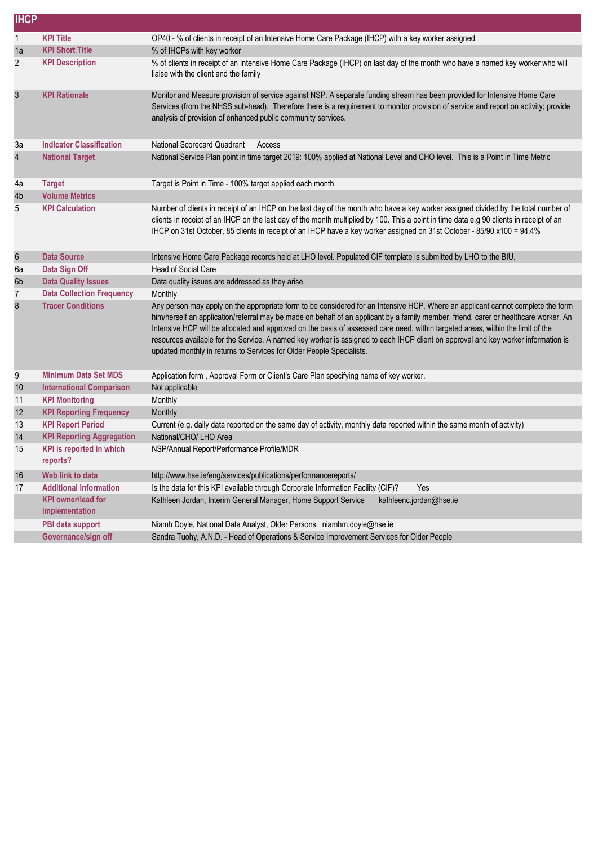| <b>IHCP</b>      |                                             |                                                                                                                                                                                                                                                                                                                                                                                                                                                                                                                                                                                                                         |
|------------------|---------------------------------------------|-------------------------------------------------------------------------------------------------------------------------------------------------------------------------------------------------------------------------------------------------------------------------------------------------------------------------------------------------------------------------------------------------------------------------------------------------------------------------------------------------------------------------------------------------------------------------------------------------------------------------|
| $\mathbf{1}$     | <b>KPI Title</b>                            | OP40 - % of clients in receipt of an Intensive Home Care Package (IHCP) with a key worker assigned                                                                                                                                                                                                                                                                                                                                                                                                                                                                                                                      |
| 1a               | <b>KPI Short Title</b>                      | % of IHCPs with key worker                                                                                                                                                                                                                                                                                                                                                                                                                                                                                                                                                                                              |
| $\overline{2}$   | <b>KPI Description</b>                      | % of clients in receipt of an Intensive Home Care Package (IHCP) on last day of the month who have a named key worker who will<br>liaise with the client and the family                                                                                                                                                                                                                                                                                                                                                                                                                                                 |
| 3                | <b>KPI Rationale</b>                        | Monitor and Measure provision of service against NSP. A separate funding stream has been provided for Intensive Home Care<br>Services (from the NHSS sub-head). Therefore there is a requirement to monitor provision of service and report on activity; provide<br>analysis of provision of enhanced public community services.                                                                                                                                                                                                                                                                                        |
| 3a               | <b>Indicator Classification</b>             | National Scorecard Quadrant<br>Access                                                                                                                                                                                                                                                                                                                                                                                                                                                                                                                                                                                   |
| 4                | <b>National Target</b>                      | National Service Plan point in time target 2019: 100% applied at National Level and CHO level. This is a Point in Time Metric                                                                                                                                                                                                                                                                                                                                                                                                                                                                                           |
| 4a               | <b>Target</b>                               | Target is Point in Time - 100% target applied each month                                                                                                                                                                                                                                                                                                                                                                                                                                                                                                                                                                |
| 4b               | <b>Volume Metrics</b>                       |                                                                                                                                                                                                                                                                                                                                                                                                                                                                                                                                                                                                                         |
| 5                | <b>KPI Calculation</b>                      | Number of clients in receipt of an IHCP on the last day of the month who have a key worker assigned divided by the total number of<br>clients in receipt of an IHCP on the last day of the month multiplied by 100. This a point in time data e.g 90 clients in receipt of an<br>IHCP on 31st October, 85 clients in receipt of an IHCP have a key worker assigned on 31st October - 85/90 x100 = 94.4%                                                                                                                                                                                                                 |
| $\boldsymbol{6}$ | <b>Data Source</b>                          | Intensive Home Care Package records held at LHO level. Populated CIF template is submitted by LHO to the BIU.                                                                                                                                                                                                                                                                                                                                                                                                                                                                                                           |
| 6а               | Data Sign Off                               | Head of Social Care                                                                                                                                                                                                                                                                                                                                                                                                                                                                                                                                                                                                     |
| 6b               | <b>Data Quality Issues</b>                  | Data quality issues are addressed as they arise.                                                                                                                                                                                                                                                                                                                                                                                                                                                                                                                                                                        |
| 7                | <b>Data Collection Frequency</b>            | Monthly                                                                                                                                                                                                                                                                                                                                                                                                                                                                                                                                                                                                                 |
| 8                | <b>Tracer Conditions</b>                    | Any person may apply on the appropriate form to be considered for an Intensive HCP. Where an applicant cannot complete the form<br>him/herself an application/referral may be made on behalf of an applicant by a family member, friend, carer or healthcare worker. An<br>Intensive HCP will be allocated and approved on the basis of assessed care need, within targeted areas, within the limit of the<br>resources available for the Service. A named key worker is assigned to each IHCP client on approval and key worker information is<br>updated monthly in returns to Services for Older People Specialists. |
| 9                | <b>Minimum Data Set MDS</b>                 | Application form, Approval Form or Client's Care Plan specifying name of key worker.                                                                                                                                                                                                                                                                                                                                                                                                                                                                                                                                    |
| 10               | <b>International Comparison</b>             | Not applicable                                                                                                                                                                                                                                                                                                                                                                                                                                                                                                                                                                                                          |
| 11               | <b>KPI Monitoring</b>                       | Monthly                                                                                                                                                                                                                                                                                                                                                                                                                                                                                                                                                                                                                 |
| 12               | <b>KPI Reporting Frequency</b>              | Monthly                                                                                                                                                                                                                                                                                                                                                                                                                                                                                                                                                                                                                 |
| 13               | <b>KPI Report Period</b>                    | Current (e.g. daily data reported on the same day of activity, monthly data reported within the same month of activity)                                                                                                                                                                                                                                                                                                                                                                                                                                                                                                 |
| 14               | <b>KPI Reporting Aggregation</b>            | National/CHO/ LHO Area                                                                                                                                                                                                                                                                                                                                                                                                                                                                                                                                                                                                  |
| 15               | <b>KPI</b> is reported in which<br>reports? | NSP/Annual Report/Performance Profile/MDR                                                                                                                                                                                                                                                                                                                                                                                                                                                                                                                                                                               |
| 16               | Web link to data                            | http://www.hse.ie/eng/services/publications/performancereports/                                                                                                                                                                                                                                                                                                                                                                                                                                                                                                                                                         |
| 17               | <b>Additional Information</b>               | Is the data for this KPI available through Corporate Information Facility (CIF)?<br>Yes                                                                                                                                                                                                                                                                                                                                                                                                                                                                                                                                 |
|                  | <b>KPI</b> owner/lead for<br>implementation | Kathleen Jordan, Interim General Manager, Home Support Service<br>kathleenc.jordan@hse.ie                                                                                                                                                                                                                                                                                                                                                                                                                                                                                                                               |
|                  | PBI data support                            | Niamh Doyle, National Data Analyst, Older Persons niamhm.doyle@hse.ie                                                                                                                                                                                                                                                                                                                                                                                                                                                                                                                                                   |
|                  | Governance/sign off                         | Sandra Tuohy, A.N.D. - Head of Operations & Service Improvement Services for Older People                                                                                                                                                                                                                                                                                                                                                                                                                                                                                                                               |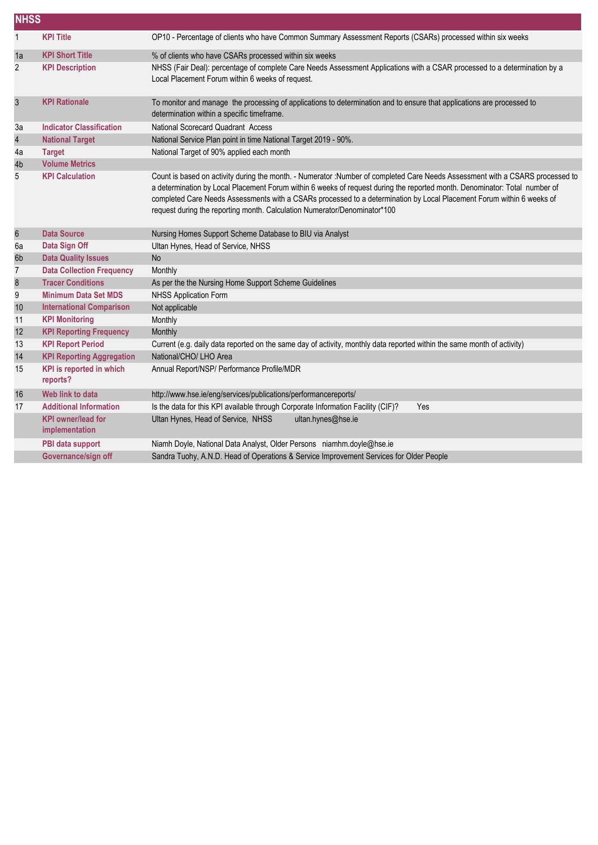|                  | <b>NHSS</b>                                 |                                                                                                                                                                                                                                                                                                                                                                                                                                                                   |  |  |  |
|------------------|---------------------------------------------|-------------------------------------------------------------------------------------------------------------------------------------------------------------------------------------------------------------------------------------------------------------------------------------------------------------------------------------------------------------------------------------------------------------------------------------------------------------------|--|--|--|
| $\mathbf{1}$     | <b>KPI Title</b>                            | OP10 - Percentage of clients who have Common Summary Assessment Reports (CSARs) processed within six weeks                                                                                                                                                                                                                                                                                                                                                        |  |  |  |
| 1a               | <b>KPI Short Title</b>                      | % of clients who have CSARs processed within six weeks                                                                                                                                                                                                                                                                                                                                                                                                            |  |  |  |
| $\overline{c}$   | <b>KPI Description</b>                      | NHSS (Fair Deal): percentage of complete Care Needs Assessment Applications with a CSAR processed to a determination by a<br>Local Placement Forum within 6 weeks of request.                                                                                                                                                                                                                                                                                     |  |  |  |
| 3                | <b>KPI Rationale</b>                        | To monitor and manage the processing of applications to determination and to ensure that applications are processed to<br>determination within a specific timeframe.                                                                                                                                                                                                                                                                                              |  |  |  |
| 3a               | <b>Indicator Classification</b>             | National Scorecard Quadrant Access                                                                                                                                                                                                                                                                                                                                                                                                                                |  |  |  |
| 4                | <b>National Target</b>                      | National Service Plan point in time National Target 2019 - 90%.                                                                                                                                                                                                                                                                                                                                                                                                   |  |  |  |
| 4a               | <b>Target</b>                               | National Target of 90% applied each month                                                                                                                                                                                                                                                                                                                                                                                                                         |  |  |  |
| 4b               | <b>Volume Metrics</b>                       |                                                                                                                                                                                                                                                                                                                                                                                                                                                                   |  |  |  |
| 5                | <b>KPI Calculation</b>                      | Count is based on activity during the month. - Numerator :Number of completed Care Needs Assessment with a CSARS processed to<br>a determination by Local Placement Forum within 6 weeks of request during the reported month. Denominator: Total number of<br>completed Care Needs Assessments with a CSARs processed to a determination by Local Placement Forum within 6 weeks of<br>request during the reporting month. Calculation Numerator/Denominator*100 |  |  |  |
| $\boldsymbol{6}$ | <b>Data Source</b>                          | Nursing Homes Support Scheme Database to BIU via Analyst                                                                                                                                                                                                                                                                                                                                                                                                          |  |  |  |
| 6a               | Data Sign Off                               | Ultan Hynes, Head of Service, NHSS                                                                                                                                                                                                                                                                                                                                                                                                                                |  |  |  |
| 6b               | <b>Data Quality Issues</b>                  | <b>No</b>                                                                                                                                                                                                                                                                                                                                                                                                                                                         |  |  |  |
| $\overline{7}$   | <b>Data Collection Frequency</b>            | Monthly                                                                                                                                                                                                                                                                                                                                                                                                                                                           |  |  |  |
| $\bf 8$          | <b>Tracer Conditions</b>                    | As per the the Nursing Home Support Scheme Guidelines                                                                                                                                                                                                                                                                                                                                                                                                             |  |  |  |
| 9                | <b>Minimum Data Set MDS</b>                 | <b>NHSS Application Form</b>                                                                                                                                                                                                                                                                                                                                                                                                                                      |  |  |  |
| 10               | <b>International Comparison</b>             | Not applicable                                                                                                                                                                                                                                                                                                                                                                                                                                                    |  |  |  |
| 11               | <b>KPI Monitoring</b>                       | Monthly                                                                                                                                                                                                                                                                                                                                                                                                                                                           |  |  |  |
| 12               | <b>KPI Reporting Frequency</b>              | Monthly                                                                                                                                                                                                                                                                                                                                                                                                                                                           |  |  |  |
| 13               | <b>KPI Report Period</b>                    | Current (e.g. daily data reported on the same day of activity, monthly data reported within the same month of activity)                                                                                                                                                                                                                                                                                                                                           |  |  |  |
| 14               | <b>KPI Reporting Aggregation</b>            | National/CHO/ LHO Area                                                                                                                                                                                                                                                                                                                                                                                                                                            |  |  |  |
| 15               | <b>KPI</b> is reported in which<br>reports? | Annual Report/NSP/ Performance Profile/MDR                                                                                                                                                                                                                                                                                                                                                                                                                        |  |  |  |
| 16               | Web link to data                            | http://www.hse.ie/eng/services/publications/performancereports/                                                                                                                                                                                                                                                                                                                                                                                                   |  |  |  |
| 17               | <b>Additional Information</b>               | Is the data for this KPI available through Corporate Information Facility (CIF)?<br>Yes                                                                                                                                                                                                                                                                                                                                                                           |  |  |  |
|                  | <b>KPI</b> owner/lead for<br>implementation | Ultan Hynes, Head of Service, NHSS<br>ultan.hynes@hse.ie                                                                                                                                                                                                                                                                                                                                                                                                          |  |  |  |
|                  | PBI data support                            | Niamh Doyle, National Data Analyst, Older Persons niamhm.doyle@hse.ie                                                                                                                                                                                                                                                                                                                                                                                             |  |  |  |
|                  | Governance/sign off                         | Sandra Tuohy, A.N.D. Head of Operations & Service Improvement Services for Older People                                                                                                                                                                                                                                                                                                                                                                           |  |  |  |
|                  |                                             |                                                                                                                                                                                                                                                                                                                                                                                                                                                                   |  |  |  |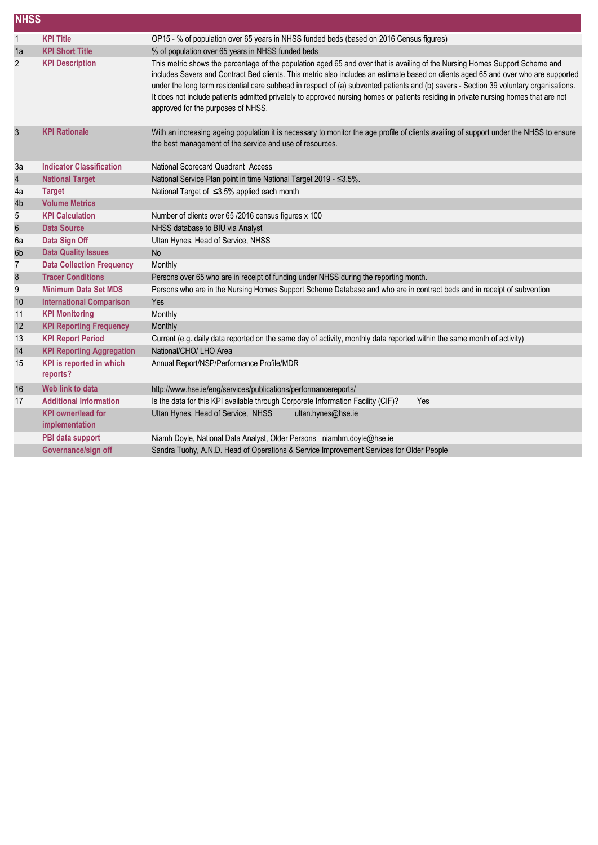| <b>NHSS</b>      |                                             |                                                                                                                                                                                                                                                                                                                                                                                                                                                                                                                                                                                             |  |
|------------------|---------------------------------------------|---------------------------------------------------------------------------------------------------------------------------------------------------------------------------------------------------------------------------------------------------------------------------------------------------------------------------------------------------------------------------------------------------------------------------------------------------------------------------------------------------------------------------------------------------------------------------------------------|--|
| $\mathbf{1}$     | <b>KPI Title</b>                            | OP15 - % of population over 65 years in NHSS funded beds (based on 2016 Census figures)                                                                                                                                                                                                                                                                                                                                                                                                                                                                                                     |  |
| 1a               | <b>KPI Short Title</b>                      | % of population over 65 years in NHSS funded beds                                                                                                                                                                                                                                                                                                                                                                                                                                                                                                                                           |  |
| $\overline{2}$   | <b>KPI Description</b>                      | This metric shows the percentage of the population aged 65 and over that is availing of the Nursing Homes Support Scheme and<br>includes Savers and Contract Bed clients. This metric also includes an estimate based on clients aged 65 and over who are supported<br>under the long term residential care subhead in respect of (a) subvented patients and (b) savers - Section 39 voluntary organisations.<br>It does not include patients admitted privately to approved nursing homes or patients residing in private nursing homes that are not<br>approved for the purposes of NHSS. |  |
| $\mathfrak{S}$   | <b>KPI Rationale</b>                        | With an increasing ageing population it is necessary to monitor the age profile of clients availing of support under the NHSS to ensure<br>the best management of the service and use of resources.                                                                                                                                                                                                                                                                                                                                                                                         |  |
| 3a               | <b>Indicator Classification</b>             | National Scorecard Quadrant Access                                                                                                                                                                                                                                                                                                                                                                                                                                                                                                                                                          |  |
| $\overline{4}$   | <b>National Target</b>                      | National Service Plan point in time National Target 2019 - ≤3.5%.                                                                                                                                                                                                                                                                                                                                                                                                                                                                                                                           |  |
| 4a               | <b>Target</b>                               | National Target of ≤3.5% applied each month                                                                                                                                                                                                                                                                                                                                                                                                                                                                                                                                                 |  |
| 4b               | <b>Volume Metrics</b>                       |                                                                                                                                                                                                                                                                                                                                                                                                                                                                                                                                                                                             |  |
| 5                | <b>KPI Calculation</b>                      | Number of clients over 65 /2016 census figures x 100                                                                                                                                                                                                                                                                                                                                                                                                                                                                                                                                        |  |
| $\boldsymbol{6}$ | <b>Data Source</b>                          | NHSS database to BIU via Analyst                                                                                                                                                                                                                                                                                                                                                                                                                                                                                                                                                            |  |
| 6a               | Data Sign Off                               | Ultan Hynes, Head of Service, NHSS                                                                                                                                                                                                                                                                                                                                                                                                                                                                                                                                                          |  |
| 6b               | <b>Data Quality Issues</b>                  | <b>No</b>                                                                                                                                                                                                                                                                                                                                                                                                                                                                                                                                                                                   |  |
| $\overline{7}$   | <b>Data Collection Frequency</b>            | Monthly                                                                                                                                                                                                                                                                                                                                                                                                                                                                                                                                                                                     |  |
| $\bf 8$          | <b>Tracer Conditions</b>                    | Persons over 65 who are in receipt of funding under NHSS during the reporting month.                                                                                                                                                                                                                                                                                                                                                                                                                                                                                                        |  |
| 9                | <b>Minimum Data Set MDS</b>                 | Persons who are in the Nursing Homes Support Scheme Database and who are in contract beds and in receipt of subvention                                                                                                                                                                                                                                                                                                                                                                                                                                                                      |  |
| 10               | <b>International Comparison</b>             | Yes                                                                                                                                                                                                                                                                                                                                                                                                                                                                                                                                                                                         |  |
| 11               | <b>KPI Monitoring</b>                       | Monthly                                                                                                                                                                                                                                                                                                                                                                                                                                                                                                                                                                                     |  |
| 12               | <b>KPI Reporting Frequency</b>              | Monthly                                                                                                                                                                                                                                                                                                                                                                                                                                                                                                                                                                                     |  |
| 13               | <b>KPI Report Period</b>                    | Current (e.g. daily data reported on the same day of activity, monthly data reported within the same month of activity)                                                                                                                                                                                                                                                                                                                                                                                                                                                                     |  |
| 14               | <b>KPI Reporting Aggregation</b>            | National/CHO/ LHO Area                                                                                                                                                                                                                                                                                                                                                                                                                                                                                                                                                                      |  |
| 15               | KPI is reported in which<br>reports?        | Annual Report/NSP/Performance Profile/MDR                                                                                                                                                                                                                                                                                                                                                                                                                                                                                                                                                   |  |
| 16               | Web link to data                            | http://www.hse.ie/eng/services/publications/performancereports/                                                                                                                                                                                                                                                                                                                                                                                                                                                                                                                             |  |
| 17               | <b>Additional Information</b>               | Is the data for this KPI available through Corporate Information Facility (CIF)?<br>Yes                                                                                                                                                                                                                                                                                                                                                                                                                                                                                                     |  |
|                  | <b>KPI</b> owner/lead for<br>implementation | Ultan Hynes, Head of Service, NHSS<br>ultan.hynes@hse.ie                                                                                                                                                                                                                                                                                                                                                                                                                                                                                                                                    |  |
|                  | PBI data support                            | Niamh Doyle, National Data Analyst, Older Persons niamhm.doyle@hse.ie                                                                                                                                                                                                                                                                                                                                                                                                                                                                                                                       |  |
|                  | Governance/sign off                         | Sandra Tuohy, A.N.D. Head of Operations & Service Improvement Services for Older People                                                                                                                                                                                                                                                                                                                                                                                                                                                                                                     |  |
|                  |                                             |                                                                                                                                                                                                                                                                                                                                                                                                                                                                                                                                                                                             |  |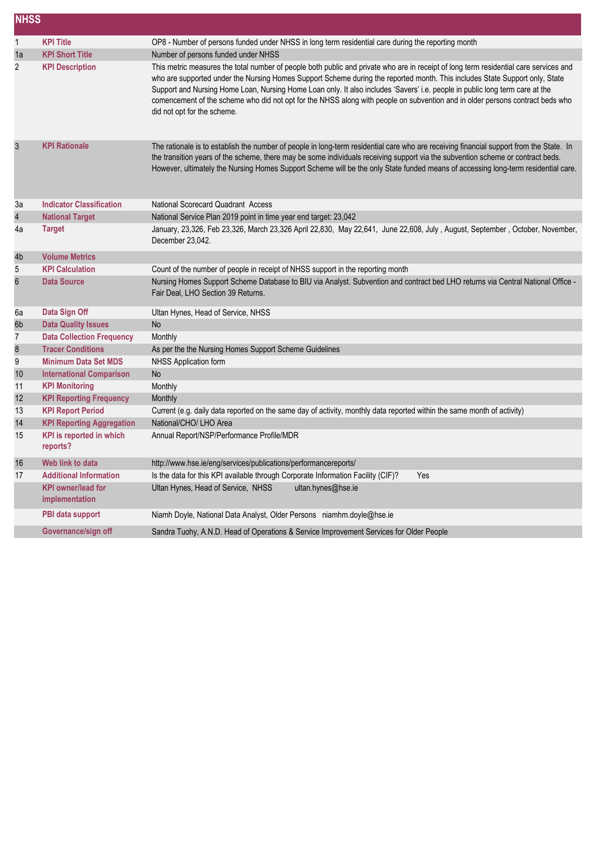| <b>NHSS</b> |                                             |                                                                                                                                                                                                                                                                                                                                                                                                                                                                                                                                                                      |
|-------------|---------------------------------------------|----------------------------------------------------------------------------------------------------------------------------------------------------------------------------------------------------------------------------------------------------------------------------------------------------------------------------------------------------------------------------------------------------------------------------------------------------------------------------------------------------------------------------------------------------------------------|
| 1           | <b>KPI Title</b>                            | OP8 - Number of persons funded under NHSS in long term residential care during the reporting month                                                                                                                                                                                                                                                                                                                                                                                                                                                                   |
| 1a          | <b>KPI Short Title</b>                      | Number of persons funded under NHSS                                                                                                                                                                                                                                                                                                                                                                                                                                                                                                                                  |
| 2           | <b>KPI Description</b>                      | This metric measures the total number of people both public and private who are in receipt of long term residential care services and<br>who are supported under the Nursing Homes Support Scheme during the reported month. This includes State Support only, State<br>Support and Nursing Home Loan, Nursing Home Loan only. It also includes 'Savers' i.e. people in public long term care at the<br>comencement of the scheme who did not opt for the NHSS along with people on subvention and in older persons contract beds who<br>did not opt for the scheme. |
| 3           | <b>KPI Rationale</b>                        | The rationale is to establish the number of people in long-term residential care who are receiving financial support from the State. In<br>the transition years of the scheme, there may be some individuals receiving support via the subvention scheme or contract beds.<br>However, ultimately the Nursing Homes Support Scheme will be the only State funded means of accessing long-term residential care.                                                                                                                                                      |
| За          | <b>Indicator Classification</b>             | National Scorecard Quadrant Access                                                                                                                                                                                                                                                                                                                                                                                                                                                                                                                                   |
| 4           | <b>National Target</b>                      | National Service Plan 2019 point in time year end target: 23,042                                                                                                                                                                                                                                                                                                                                                                                                                                                                                                     |
| 4a          | <b>Target</b>                               | January, 23,326, Feb 23,326, March 23,326 April 22,830, May 22,641, June 22,608, July, August, September, October, November,<br>December 23,042.                                                                                                                                                                                                                                                                                                                                                                                                                     |
| 4b          | <b>Volume Metrics</b>                       |                                                                                                                                                                                                                                                                                                                                                                                                                                                                                                                                                                      |
| 5           | <b>KPI Calculation</b>                      | Count of the number of people in receipt of NHSS support in the reporting month                                                                                                                                                                                                                                                                                                                                                                                                                                                                                      |
| 6           | <b>Data Source</b>                          | Nursing Homes Support Scheme Database to BIU via Analyst. Subvention and contract bed LHO returns via Central National Office -<br>Fair Deal, LHO Section 39 Returns.                                                                                                                                                                                                                                                                                                                                                                                                |
| 6а          | Data Sign Off                               | Ultan Hynes, Head of Service, NHSS                                                                                                                                                                                                                                                                                                                                                                                                                                                                                                                                   |
| 6b          | <b>Data Quality Issues</b>                  | <b>No</b>                                                                                                                                                                                                                                                                                                                                                                                                                                                                                                                                                            |
| 7           | <b>Data Collection Frequency</b>            | Monthly                                                                                                                                                                                                                                                                                                                                                                                                                                                                                                                                                              |
| 8           | <b>Tracer Conditions</b>                    | As per the the Nursing Homes Support Scheme Guidelines                                                                                                                                                                                                                                                                                                                                                                                                                                                                                                               |
| 9           | <b>Minimum Data Set MDS</b>                 | NHSS Application form                                                                                                                                                                                                                                                                                                                                                                                                                                                                                                                                                |
| 10          | <b>International Comparison</b>             | <b>No</b>                                                                                                                                                                                                                                                                                                                                                                                                                                                                                                                                                            |
| 11          | <b>KPI Monitoring</b>                       | Monthly                                                                                                                                                                                                                                                                                                                                                                                                                                                                                                                                                              |
| 12          | <b>KPI Reporting Frequency</b>              | Monthly                                                                                                                                                                                                                                                                                                                                                                                                                                                                                                                                                              |
| 13          | <b>KPI Report Period</b>                    | Current (e.g. daily data reported on the same day of activity, monthly data reported within the same month of activity)                                                                                                                                                                                                                                                                                                                                                                                                                                              |
| 14          | <b>KPI Reporting Aggregation</b>            | National/CHO/ LHO Area                                                                                                                                                                                                                                                                                                                                                                                                                                                                                                                                               |
| 15          | KPI is reported in which<br>reports?        | Annual Report/NSP/Performance Profile/MDR                                                                                                                                                                                                                                                                                                                                                                                                                                                                                                                            |
| 16          | Web link to data                            | http://www.hse.ie/eng/services/publications/performancereports/                                                                                                                                                                                                                                                                                                                                                                                                                                                                                                      |
| 17          | <b>Additional Information</b>               | Is the data for this KPI available through Corporate Information Facility (CIF)?<br>Yes                                                                                                                                                                                                                                                                                                                                                                                                                                                                              |
|             | <b>KPI</b> owner/lead for<br>implementation | Ultan Hynes, Head of Service, NHSS<br>ultan.hynes@hse.ie                                                                                                                                                                                                                                                                                                                                                                                                                                                                                                             |
|             | PBI data support                            | Niamh Doyle, National Data Analyst, Older Persons niamhm.doyle@hse.ie                                                                                                                                                                                                                                                                                                                                                                                                                                                                                                |
|             | Governance/sign off                         | Sandra Tuohy, A.N.D. Head of Operations & Service Improvement Services for Older People                                                                                                                                                                                                                                                                                                                                                                                                                                                                              |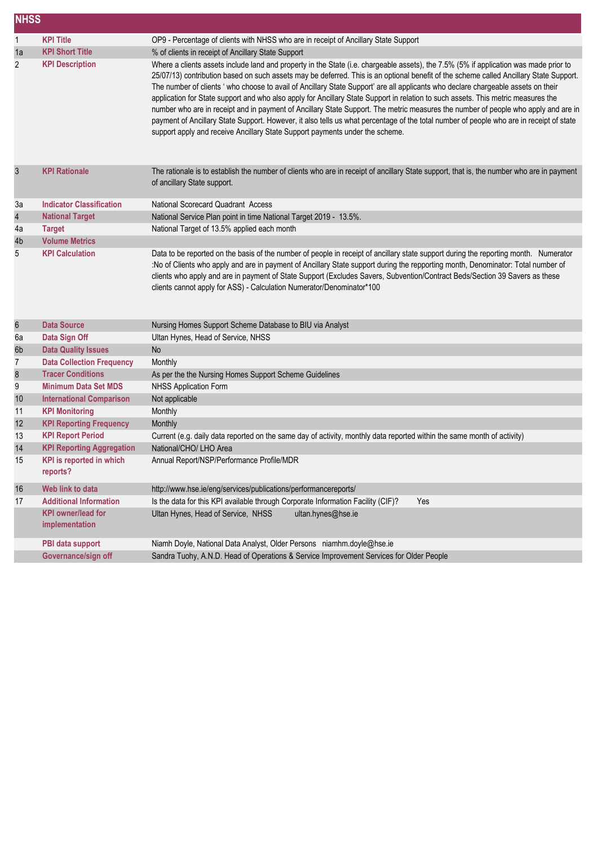|                | <b>NHSS</b>                                 |                                                                                                                                                                                                                                                                                                                                                                                                                                                                                                                                                                                                                                                                                                                                                                                                                                                                                                                            |  |
|----------------|---------------------------------------------|----------------------------------------------------------------------------------------------------------------------------------------------------------------------------------------------------------------------------------------------------------------------------------------------------------------------------------------------------------------------------------------------------------------------------------------------------------------------------------------------------------------------------------------------------------------------------------------------------------------------------------------------------------------------------------------------------------------------------------------------------------------------------------------------------------------------------------------------------------------------------------------------------------------------------|--|
| $\mathbf{1}$   | <b>KPI Title</b>                            | OP9 - Percentage of clients with NHSS who are in receipt of Ancillary State Support                                                                                                                                                                                                                                                                                                                                                                                                                                                                                                                                                                                                                                                                                                                                                                                                                                        |  |
| 1a             | <b>KPI Short Title</b>                      | % of clients in receipt of Ancillary State Support                                                                                                                                                                                                                                                                                                                                                                                                                                                                                                                                                                                                                                                                                                                                                                                                                                                                         |  |
| 2              | <b>KPI Description</b>                      | Where a clients assets include land and property in the State (i.e. chargeable assets), the 7.5% (5% if application was made prior to<br>25/07/13) contribution based on such assets may be deferred. This is an optional benefit of the scheme called Ancillary State Support.<br>The number of clients ' who choose to avail of Ancillary State Support' are all applicants who declare chargeable assets on their<br>application for State support and who also apply for Ancillary State Support in relation to such assets. This metric measures the<br>number who are in receipt and in payment of Ancillary State Support. The metric measures the number of people who apply and are in<br>payment of Ancillary State Support. However, it also tells us what percentage of the total number of people who are in receipt of state<br>support apply and receive Ancillary State Support payments under the scheme. |  |
| $\sqrt{3}$     | <b>KPI Rationale</b>                        | The rationale is to establish the number of clients who are in receipt of ancillary State support, that is, the number who are in payment<br>of ancillary State support.                                                                                                                                                                                                                                                                                                                                                                                                                                                                                                                                                                                                                                                                                                                                                   |  |
| 3a             | <b>Indicator Classification</b>             | National Scorecard Quadrant Access                                                                                                                                                                                                                                                                                                                                                                                                                                                                                                                                                                                                                                                                                                                                                                                                                                                                                         |  |
| 4              | <b>National Target</b>                      | National Service Plan point in time National Target 2019 - 13.5%.                                                                                                                                                                                                                                                                                                                                                                                                                                                                                                                                                                                                                                                                                                                                                                                                                                                          |  |
| 4a             | <b>Target</b>                               | National Target of 13.5% applied each month                                                                                                                                                                                                                                                                                                                                                                                                                                                                                                                                                                                                                                                                                                                                                                                                                                                                                |  |
| 4b             | <b>Volume Metrics</b>                       |                                                                                                                                                                                                                                                                                                                                                                                                                                                                                                                                                                                                                                                                                                                                                                                                                                                                                                                            |  |
| 5              | <b>KPI Calculation</b>                      | Data to be reported on the basis of the number of people in receipt of ancillary state support during the reporting month. Numerator<br>:No of Clients who apply and are in payment of Ancillary State support during the repporting month, Denominator: Total number of<br>clients who apply and are in payment of State Support (Excludes Savers, Subvention/Contract Beds/Section 39 Savers as these<br>clients cannot apply for ASS) - Calculation Numerator/Denominator*100                                                                                                                                                                                                                                                                                                                                                                                                                                           |  |
| 6              | <b>Data Source</b>                          | Nursing Homes Support Scheme Database to BIU via Analyst                                                                                                                                                                                                                                                                                                                                                                                                                                                                                                                                                                                                                                                                                                                                                                                                                                                                   |  |
| 6a             | Data Sign Off                               | Ultan Hynes, Head of Service, NHSS                                                                                                                                                                                                                                                                                                                                                                                                                                                                                                                                                                                                                                                                                                                                                                                                                                                                                         |  |
| 6b             | <b>Data Quality Issues</b>                  | <b>No</b>                                                                                                                                                                                                                                                                                                                                                                                                                                                                                                                                                                                                                                                                                                                                                                                                                                                                                                                  |  |
| $\overline{7}$ | <b>Data Collection Frequency</b>            | Monthly                                                                                                                                                                                                                                                                                                                                                                                                                                                                                                                                                                                                                                                                                                                                                                                                                                                                                                                    |  |
| 8              | <b>Tracer Conditions</b>                    | As per the the Nursing Homes Support Scheme Guidelines                                                                                                                                                                                                                                                                                                                                                                                                                                                                                                                                                                                                                                                                                                                                                                                                                                                                     |  |
| 9              | <b>Minimum Data Set MDS</b>                 | <b>NHSS Application Form</b>                                                                                                                                                                                                                                                                                                                                                                                                                                                                                                                                                                                                                                                                                                                                                                                                                                                                                               |  |
| 10             | <b>International Comparison</b>             | Not applicable                                                                                                                                                                                                                                                                                                                                                                                                                                                                                                                                                                                                                                                                                                                                                                                                                                                                                                             |  |
| 11             | <b>KPI Monitoring</b>                       | Monthly                                                                                                                                                                                                                                                                                                                                                                                                                                                                                                                                                                                                                                                                                                                                                                                                                                                                                                                    |  |
| 12             | <b>KPI Reporting Frequency</b>              | Monthly                                                                                                                                                                                                                                                                                                                                                                                                                                                                                                                                                                                                                                                                                                                                                                                                                                                                                                                    |  |
| 13             | <b>KPI Report Period</b>                    | Current (e.g. daily data reported on the same day of activity, monthly data reported within the same month of activity)                                                                                                                                                                                                                                                                                                                                                                                                                                                                                                                                                                                                                                                                                                                                                                                                    |  |
| 14             | <b>KPI Reporting Aggregation</b>            | National/CHO/ LHO Area                                                                                                                                                                                                                                                                                                                                                                                                                                                                                                                                                                                                                                                                                                                                                                                                                                                                                                     |  |
| 15             | <b>KPI</b> is reported in which<br>reports? | Annual Report/NSP/Performance Profile/MDR                                                                                                                                                                                                                                                                                                                                                                                                                                                                                                                                                                                                                                                                                                                                                                                                                                                                                  |  |
| 16             | Web link to data                            | http://www.hse.ie/eng/services/publications/performancereports/                                                                                                                                                                                                                                                                                                                                                                                                                                                                                                                                                                                                                                                                                                                                                                                                                                                            |  |
| 17             | <b>Additional Information</b>               | Is the data for this KPI available through Corporate Information Facility (CIF)?<br>Yes                                                                                                                                                                                                                                                                                                                                                                                                                                                                                                                                                                                                                                                                                                                                                                                                                                    |  |
|                | <b>KPI</b> owner/lead for<br>implementation | Ultan Hynes, Head of Service, NHSS<br>ultan.hynes@hse.ie                                                                                                                                                                                                                                                                                                                                                                                                                                                                                                                                                                                                                                                                                                                                                                                                                                                                   |  |
|                | PBI data support                            | Niamh Doyle, National Data Analyst, Older Persons niamhm.doyle@hse.ie                                                                                                                                                                                                                                                                                                                                                                                                                                                                                                                                                                                                                                                                                                                                                                                                                                                      |  |
|                | Governance/sign off                         | Sandra Tuohy, A.N.D. Head of Operations & Service Improvement Services for Older People                                                                                                                                                                                                                                                                                                                                                                                                                                                                                                                                                                                                                                                                                                                                                                                                                                    |  |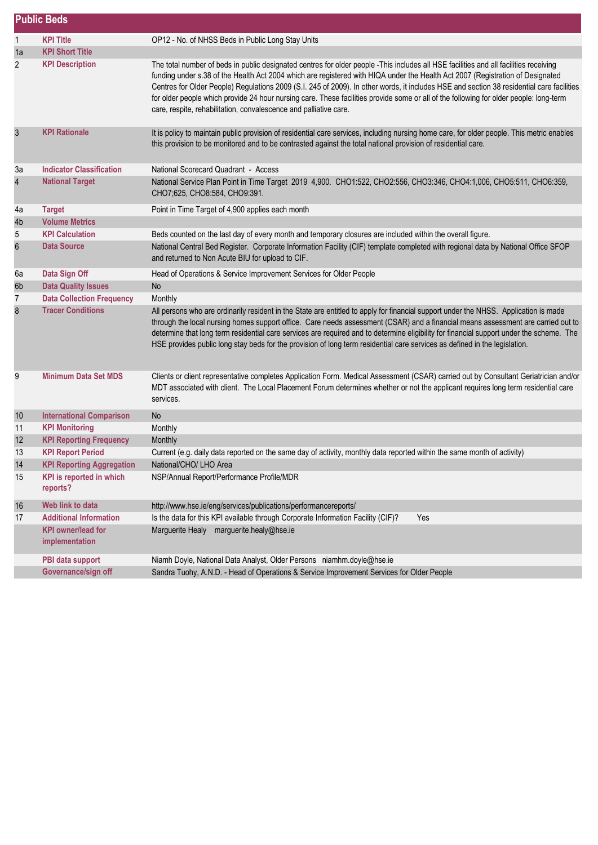|                         | <b>Public Beds</b>                          |                                                                                                                                                                                                                                                                                                                                                                                                                                                                                                                                                                                                                                     |  |
|-------------------------|---------------------------------------------|-------------------------------------------------------------------------------------------------------------------------------------------------------------------------------------------------------------------------------------------------------------------------------------------------------------------------------------------------------------------------------------------------------------------------------------------------------------------------------------------------------------------------------------------------------------------------------------------------------------------------------------|--|
| $\mathbf{1}$            | <b>KPI Title</b>                            | OP12 - No. of NHSS Beds in Public Long Stay Units                                                                                                                                                                                                                                                                                                                                                                                                                                                                                                                                                                                   |  |
| 1a                      | <b>KPI Short Title</b>                      |                                                                                                                                                                                                                                                                                                                                                                                                                                                                                                                                                                                                                                     |  |
| 2                       | <b>KPI Description</b>                      | The total number of beds in public designated centres for older people -This includes all HSE facilities and all facilities receiving<br>funding under s.38 of the Health Act 2004 which are registered with HIQA under the Health Act 2007 (Registration of Designated<br>Centres for Older People) Regulations 2009 (S.I. 245 of 2009). In other words, it includes HSE and section 38 residential care facilities<br>for older people which provide 24 hour nursing care. These facilities provide some or all of the following for older people: long-term<br>care, respite, rehabilitation, convalescence and palliative care. |  |
| $\sqrt{3}$              | <b>KPI Rationale</b>                        | It is policy to maintain public provision of residential care services, including nursing home care, for older people. This metric enables<br>this provision to be monitored and to be contrasted against the total national provision of residential care.                                                                                                                                                                                                                                                                                                                                                                         |  |
| Зa                      | <b>Indicator Classification</b>             | National Scorecard Quadrant - Access                                                                                                                                                                                                                                                                                                                                                                                                                                                                                                                                                                                                |  |
| $\overline{\mathbf{r}}$ | <b>National Target</b>                      | National Service Plan Point in Time Target 2019 4,900. CHO1:522, CHO2:556, CHO3:346, CHO4:1,006, CHO5:511, CHO6:359,<br>CHO7;625, CHO8:584, CHO9:391.                                                                                                                                                                                                                                                                                                                                                                                                                                                                               |  |
| 4a                      | <b>Target</b>                               | Point in Time Target of 4,900 applies each month                                                                                                                                                                                                                                                                                                                                                                                                                                                                                                                                                                                    |  |
| 4b                      | <b>Volume Metrics</b>                       |                                                                                                                                                                                                                                                                                                                                                                                                                                                                                                                                                                                                                                     |  |
| 5                       | <b>KPI Calculation</b>                      | Beds counted on the last day of every month and temporary closures are included within the overall figure.                                                                                                                                                                                                                                                                                                                                                                                                                                                                                                                          |  |
| $\boldsymbol{6}$        | <b>Data Source</b>                          | National Central Bed Register. Corporate Information Facility (CIF) template completed with regional data by National Office SFOP<br>and returned to Non Acute BIU for upload to CIF.                                                                                                                                                                                                                                                                                                                                                                                                                                               |  |
| 6а                      | Data Sign Off                               | Head of Operations & Service Improvement Services for Older People                                                                                                                                                                                                                                                                                                                                                                                                                                                                                                                                                                  |  |
| 6 <sub>b</sub>          | <b>Data Quality Issues</b>                  | No                                                                                                                                                                                                                                                                                                                                                                                                                                                                                                                                                                                                                                  |  |
| 7                       | <b>Data Collection Frequency</b>            | Monthly                                                                                                                                                                                                                                                                                                                                                                                                                                                                                                                                                                                                                             |  |
| 8                       | <b>Tracer Conditions</b>                    | All persons who are ordinarily resident in the State are entitled to apply for financial support under the NHSS. Application is made<br>through the local nursing homes support office. Care needs assessment (CSAR) and a financial means assessment are carried out to<br>determine that long term residential care services are required and to determine eligibility for financial support under the scheme. The<br>HSE provides public long stay beds for the provision of long term residential care services as defined in the legislation.                                                                                  |  |
| 9                       | <b>Minimum Data Set MDS</b>                 | Clients or client representative completes Application Form. Medical Assessment (CSAR) carried out by Consultant Geriatrician and/or<br>MDT associated with client. The Local Placement Forum determines whether or not the applicant requires long term residential care<br>services.                                                                                                                                                                                                                                                                                                                                              |  |
| 10                      | <b>International Comparison</b>             | <b>No</b>                                                                                                                                                                                                                                                                                                                                                                                                                                                                                                                                                                                                                           |  |
| 11                      | <b>KPI Monitoring</b>                       | Monthly                                                                                                                                                                                                                                                                                                                                                                                                                                                                                                                                                                                                                             |  |
| 12                      | <b>KPI Reporting Frequency</b>              | Monthly                                                                                                                                                                                                                                                                                                                                                                                                                                                                                                                                                                                                                             |  |
| 13                      | <b>KPI Report Period</b>                    | Current (e.g. daily data reported on the same day of activity, monthly data reported within the same month of activity)                                                                                                                                                                                                                                                                                                                                                                                                                                                                                                             |  |
| 14                      | <b>KPI Reporting Aggregation</b>            | National/CHO/ LHO Area                                                                                                                                                                                                                                                                                                                                                                                                                                                                                                                                                                                                              |  |
| 15                      | KPI is reported in which<br>reports?        | NSP/Annual Report/Performance Profile/MDR                                                                                                                                                                                                                                                                                                                                                                                                                                                                                                                                                                                           |  |
| 16                      | Web link to data                            | http://www.hse.ie/eng/services/publications/performancereports/                                                                                                                                                                                                                                                                                                                                                                                                                                                                                                                                                                     |  |
| 17                      | <b>Additional Information</b>               | Is the data for this KPI available through Corporate Information Facility (CIF)?<br>Yes                                                                                                                                                                                                                                                                                                                                                                                                                                                                                                                                             |  |
|                         | <b>KPI</b> owner/lead for<br>implementation | Marguerite Healy marguerite.healy@hse.ie                                                                                                                                                                                                                                                                                                                                                                                                                                                                                                                                                                                            |  |
|                         | PBI data support                            | Niamh Doyle, National Data Analyst, Older Persons niamhm.doyle@hse.ie                                                                                                                                                                                                                                                                                                                                                                                                                                                                                                                                                               |  |
|                         | Governance/sign off                         | Sandra Tuohy, A.N.D. - Head of Operations & Service Improvement Services for Older People                                                                                                                                                                                                                                                                                                                                                                                                                                                                                                                                           |  |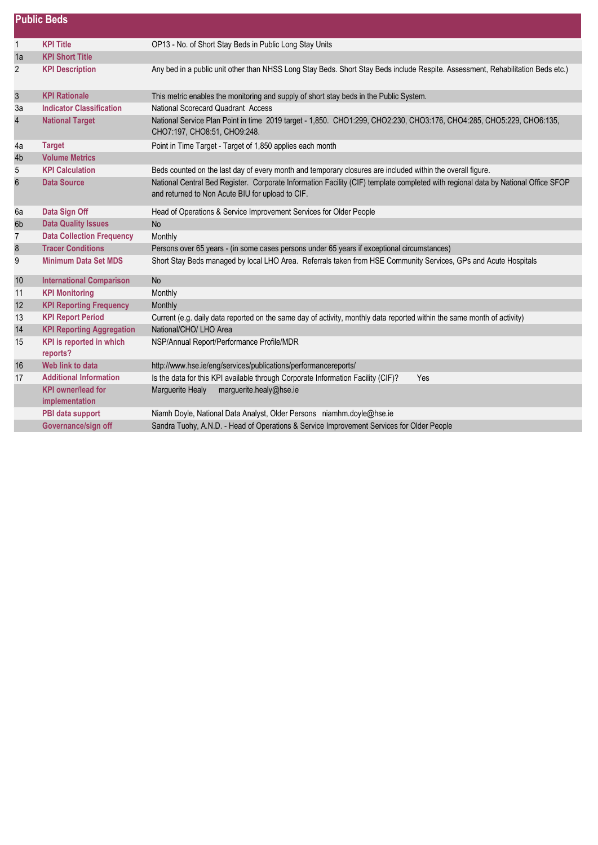|                         | <b>Public Beds</b>                          |                                                                                                                                                                                       |  |
|-------------------------|---------------------------------------------|---------------------------------------------------------------------------------------------------------------------------------------------------------------------------------------|--|
| $\mathbf{1}$            | <b>KPI Title</b>                            | OP13 - No. of Short Stay Beds in Public Long Stay Units                                                                                                                               |  |
| 1a                      | <b>KPI Short Title</b>                      |                                                                                                                                                                                       |  |
| $\overline{c}$          | <b>KPI Description</b>                      | Any bed in a public unit other than NHSS Long Stay Beds. Short Stay Beds include Respite. Assessment, Rehabilitation Beds etc.)                                                       |  |
| $\mathfrak{S}$          | <b>KPI Rationale</b>                        | This metric enables the monitoring and supply of short stay beds in the Public System.                                                                                                |  |
| 3a                      | <b>Indicator Classification</b>             | National Scorecard Quadrant Access                                                                                                                                                    |  |
| $\overline{\mathbf{r}}$ | <b>National Target</b>                      | National Service Plan Point in time 2019 target - 1,850. CHO1:299, CHO2:230, CHO3:176, CHO4:285, CHO5:229, CHO6:135,<br>CHO7:197, CHO8:51, CHO9:248.                                  |  |
| 4a                      | <b>Target</b>                               | Point in Time Target - Target of 1,850 applies each month                                                                                                                             |  |
| 4b                      | <b>Volume Metrics</b>                       |                                                                                                                                                                                       |  |
| 5                       | <b>KPI Calculation</b>                      | Beds counted on the last day of every month and temporary closures are included within the overall figure.                                                                            |  |
| $\boldsymbol{6}$        | <b>Data Source</b>                          | National Central Bed Register. Corporate Information Facility (CIF) template completed with regional data by National Office SFOP<br>and returned to Non Acute BIU for upload to CIF. |  |
| 6a                      | Data Sign Off                               | Head of Operations & Service Improvement Services for Older People                                                                                                                    |  |
| 6 <sub>b</sub>          | <b>Data Quality Issues</b>                  | No                                                                                                                                                                                    |  |
| 7                       | <b>Data Collection Frequency</b>            | Monthly                                                                                                                                                                               |  |
| $\bf 8$                 | <b>Tracer Conditions</b>                    | Persons over 65 years - (in some cases persons under 65 years if exceptional circumstances)                                                                                           |  |
| 9                       | <b>Minimum Data Set MDS</b>                 | Short Stay Beds managed by local LHO Area. Referrals taken from HSE Community Services, GPs and Acute Hospitals                                                                       |  |
| 10                      | <b>International Comparison</b>             | <b>No</b>                                                                                                                                                                             |  |
| 11                      | <b>KPI Monitoring</b>                       | Monthly                                                                                                                                                                               |  |
| 12                      | <b>KPI Reporting Frequency</b>              | Monthly                                                                                                                                                                               |  |
| 13                      | <b>KPI Report Period</b>                    | Current (e.g. daily data reported on the same day of activity, monthly data reported within the same month of activity)                                                               |  |
| 14                      | <b>KPI Reporting Aggregation</b>            | National/CHO/ LHO Area                                                                                                                                                                |  |
| 15                      | KPI is reported in which<br>reports?        | NSP/Annual Report/Performance Profile/MDR                                                                                                                                             |  |
| 16                      | Web link to data                            | http://www.hse.ie/eng/services/publications/performancereports/                                                                                                                       |  |
| 17                      | <b>Additional Information</b>               | Is the data for this KPI available through Corporate Information Facility (CIF)?<br><b>Yes</b>                                                                                        |  |
|                         | <b>KPI</b> owner/lead for<br>implementation | Marguerite Healy marguerite.healy@hse.ie                                                                                                                                              |  |
|                         | PBI data support                            | Niamh Doyle, National Data Analyst, Older Persons niamhm.doyle@hse.ie                                                                                                                 |  |
|                         | Governance/sign off                         | Sandra Tuohy, A.N.D. - Head of Operations & Service Improvement Services for Older People                                                                                             |  |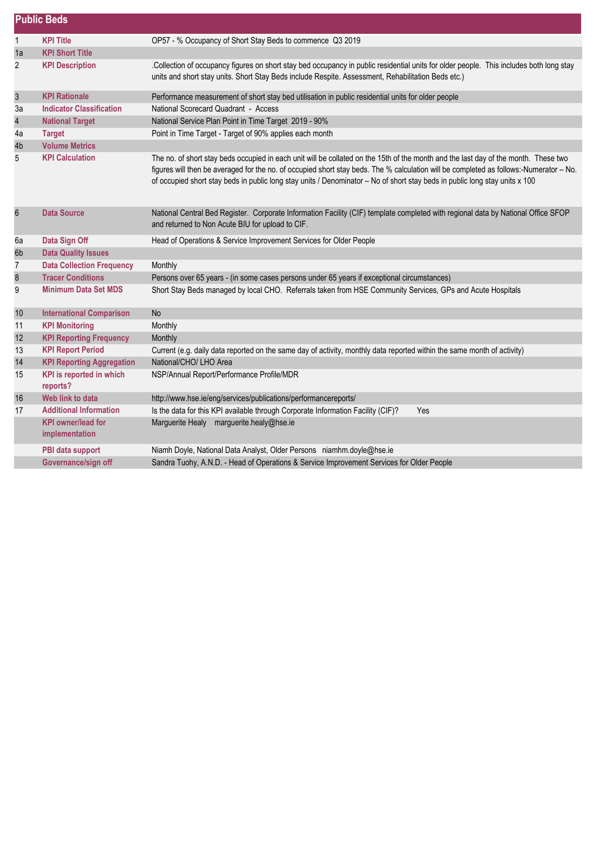|                | <b>Public Beds</b>                          |                                                                                                                                                                                                                                                                                                                                                                                                              |  |
|----------------|---------------------------------------------|--------------------------------------------------------------------------------------------------------------------------------------------------------------------------------------------------------------------------------------------------------------------------------------------------------------------------------------------------------------------------------------------------------------|--|
| $\mathbf{1}$   | <b>KPI Title</b>                            | OP57 - % Occupancy of Short Stay Beds to commence Q3 2019                                                                                                                                                                                                                                                                                                                                                    |  |
| 1a             | <b>KPI Short Title</b>                      |                                                                                                                                                                                                                                                                                                                                                                                                              |  |
| 2              | <b>KPI Description</b>                      | Collection of occupancy figures on short stay bed occupancy in public residential units for older people. This includes both long stay<br>units and short stay units. Short Stay Beds include Respite. Assessment, Rehabilitation Beds etc.)                                                                                                                                                                 |  |
| $\sqrt{3}$     | <b>KPI Rationale</b>                        | Performance measurement of short stay bed utilisation in public residential units for older people                                                                                                                                                                                                                                                                                                           |  |
| 3a             | <b>Indicator Classification</b>             | National Scorecard Quadrant - Access                                                                                                                                                                                                                                                                                                                                                                         |  |
| $\overline{4}$ | <b>National Target</b>                      | National Service Plan Point in Time Target 2019 - 90%                                                                                                                                                                                                                                                                                                                                                        |  |
| 4a             | <b>Target</b>                               | Point in Time Target - Target of 90% applies each month                                                                                                                                                                                                                                                                                                                                                      |  |
| 4b             | <b>Volume Metrics</b>                       |                                                                                                                                                                                                                                                                                                                                                                                                              |  |
| 5              | <b>KPI Calculation</b>                      | The no. of short stay beds occupied in each unit will be collated on the 15th of the month and the last day of the month. These two<br>figures will then be averaged for the no. of occupied short stay beds. The % calculation will be completed as follows:-Numerator - No.<br>of occupied short stay beds in public long stay units / Denominator - No of short stay beds in public long stay units x 100 |  |
| $\,6$          | <b>Data Source</b>                          | National Central Bed Register. Corporate Information Facility (CIF) template completed with regional data by National Office SFOP<br>and returned to Non Acute BIU for upload to CIF.                                                                                                                                                                                                                        |  |
| 6a             | Data Sign Off                               | Head of Operations & Service Improvement Services for Older People                                                                                                                                                                                                                                                                                                                                           |  |
| 6b             | <b>Data Quality Issues</b>                  |                                                                                                                                                                                                                                                                                                                                                                                                              |  |
| $\overline{7}$ | <b>Data Collection Frequency</b>            | Monthly                                                                                                                                                                                                                                                                                                                                                                                                      |  |
| $\bf 8$        | <b>Tracer Conditions</b>                    | Persons over 65 years - (in some cases persons under 65 years if exceptional circumstances)                                                                                                                                                                                                                                                                                                                  |  |
| 9              | <b>Minimum Data Set MDS</b>                 | Short Stay Beds managed by local CHO. Referrals taken from HSE Community Services, GPs and Acute Hospitals                                                                                                                                                                                                                                                                                                   |  |
| 10             | <b>International Comparison</b>             | <b>No</b>                                                                                                                                                                                                                                                                                                                                                                                                    |  |
| 11             | <b>KPI Monitoring</b>                       | Monthly                                                                                                                                                                                                                                                                                                                                                                                                      |  |
| 12             | <b>KPI Reporting Frequency</b>              | Monthly                                                                                                                                                                                                                                                                                                                                                                                                      |  |
| 13             | <b>KPI Report Period</b>                    | Current (e.g. daily data reported on the same day of activity, monthly data reported within the same month of activity)                                                                                                                                                                                                                                                                                      |  |
| 14             | <b>KPI Reporting Aggregation</b>            | National/CHO/ LHO Area                                                                                                                                                                                                                                                                                                                                                                                       |  |
| 15             | KPI is reported in which<br>reports?        | NSP/Annual Report/Performance Profile/MDR                                                                                                                                                                                                                                                                                                                                                                    |  |
| 16             | Web link to data                            | http://www.hse.ie/eng/services/publications/performancereports/                                                                                                                                                                                                                                                                                                                                              |  |
| 17             | <b>Additional Information</b>               | Is the data for this KPI available through Corporate Information Facility (CIF)?<br>Yes                                                                                                                                                                                                                                                                                                                      |  |
|                | <b>KPI</b> owner/lead for<br>implementation | Marguerite Healy marguerite.healy@hse.ie                                                                                                                                                                                                                                                                                                                                                                     |  |
|                | PBI data support                            | Niamh Doyle, National Data Analyst, Older Persons niamhm.doyle@hse.ie                                                                                                                                                                                                                                                                                                                                        |  |
|                | Governance/sign off                         | Sandra Tuohy, A.N.D. - Head of Operations & Service Improvement Services for Older People                                                                                                                                                                                                                                                                                                                    |  |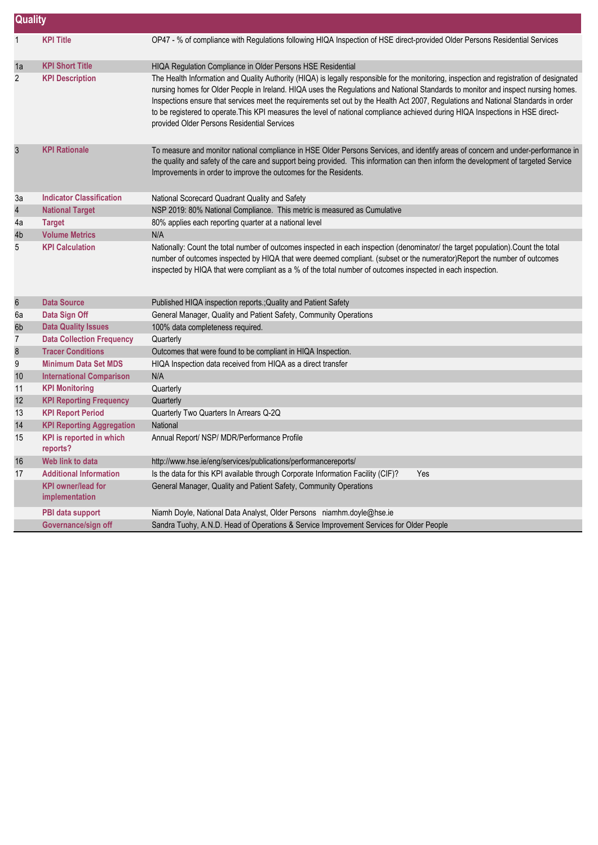|                | <b>Quality</b>                              |                                                                                                                                                                                                                                                                                                                                                                                                                                                                                                                                                                                                       |  |  |
|----------------|---------------------------------------------|-------------------------------------------------------------------------------------------------------------------------------------------------------------------------------------------------------------------------------------------------------------------------------------------------------------------------------------------------------------------------------------------------------------------------------------------------------------------------------------------------------------------------------------------------------------------------------------------------------|--|--|
| $\mathbf{1}$   | <b>KPI Title</b>                            | OP47 - % of compliance with Regulations following HIQA Inspection of HSE direct-provided Older Persons Residential Services                                                                                                                                                                                                                                                                                                                                                                                                                                                                           |  |  |
| 1a             | <b>KPI Short Title</b>                      | HIQA Regulation Compliance in Older Persons HSE Residential                                                                                                                                                                                                                                                                                                                                                                                                                                                                                                                                           |  |  |
| $\overline{2}$ | <b>KPI Description</b>                      | The Health Information and Quality Authority (HIQA) is legally responsible for the monitoring, inspection and registration of designated<br>nursing homes for Older People in Ireland. HIQA uses the Regulations and National Standards to monitor and inspect nursing homes.<br>Inspections ensure that services meet the requirements set out by the Health Act 2007, Regulations and National Standards in order<br>to be registered to operate. This KPI measures the level of national compliance achieved during HIQA Inspections in HSE direct-<br>provided Older Persons Residential Services |  |  |
| $\mathbf{3}$   | <b>KPI Rationale</b>                        | To measure and monitor national compliance in HSE Older Persons Services, and identify areas of concern and under-performance in<br>the quality and safety of the care and support being provided. This information can then inform the development of targeted Service<br>Improvements in order to improve the outcomes for the Residents.                                                                                                                                                                                                                                                           |  |  |
| 3a             | <b>Indicator Classification</b>             | National Scorecard Quadrant Quality and Safety                                                                                                                                                                                                                                                                                                                                                                                                                                                                                                                                                        |  |  |
| $\overline{4}$ | <b>National Target</b>                      | NSP 2019: 80% National Compliance. This metric is measured as Cumulative                                                                                                                                                                                                                                                                                                                                                                                                                                                                                                                              |  |  |
| 4a             | <b>Target</b>                               | 80% applies each reporting quarter at a national level                                                                                                                                                                                                                                                                                                                                                                                                                                                                                                                                                |  |  |
| 4b             | <b>Volume Metrics</b>                       | N/A                                                                                                                                                                                                                                                                                                                                                                                                                                                                                                                                                                                                   |  |  |
| 5              | <b>KPI Calculation</b>                      | Nationally: Count the total number of outcomes inspected in each inspection (denominator/ the target population).Count the total<br>number of outcomes inspected by HIQA that were deemed compliant. (subset or the numerator)Report the number of outcomes<br>inspected by HIQA that were compliant as a % of the total number of outcomes inspected in each inspection.                                                                                                                                                                                                                             |  |  |
| $\,6$          | <b>Data Source</b>                          | Published HIQA inspection reports.; Quality and Patient Safety                                                                                                                                                                                                                                                                                                                                                                                                                                                                                                                                        |  |  |
| 6а             | Data Sign Off                               | General Manager, Quality and Patient Safety, Community Operations                                                                                                                                                                                                                                                                                                                                                                                                                                                                                                                                     |  |  |
| 6b             | <b>Data Quality Issues</b>                  | 100% data completeness required.                                                                                                                                                                                                                                                                                                                                                                                                                                                                                                                                                                      |  |  |
| $\overline{7}$ | <b>Data Collection Frequency</b>            | Quarterly                                                                                                                                                                                                                                                                                                                                                                                                                                                                                                                                                                                             |  |  |
| $\bf 8$        | <b>Tracer Conditions</b>                    | Outcomes that were found to be compliant in HIQA Inspection.                                                                                                                                                                                                                                                                                                                                                                                                                                                                                                                                          |  |  |
| 9              | <b>Minimum Data Set MDS</b>                 | HIQA Inspection data received from HIQA as a direct transfer                                                                                                                                                                                                                                                                                                                                                                                                                                                                                                                                          |  |  |
| 10             | <b>International Comparison</b>             | N/A                                                                                                                                                                                                                                                                                                                                                                                                                                                                                                                                                                                                   |  |  |
| 11             | <b>KPI Monitoring</b>                       | Quarterly                                                                                                                                                                                                                                                                                                                                                                                                                                                                                                                                                                                             |  |  |
| 12             | <b>KPI Reporting Frequency</b>              | Quarterly                                                                                                                                                                                                                                                                                                                                                                                                                                                                                                                                                                                             |  |  |
| 13             | <b>KPI Report Period</b>                    | Quarterly Two Quarters In Arrears Q-2Q                                                                                                                                                                                                                                                                                                                                                                                                                                                                                                                                                                |  |  |
| 14             | <b>KPI Reporting Aggregation</b>            | National                                                                                                                                                                                                                                                                                                                                                                                                                                                                                                                                                                                              |  |  |
| 15             | <b>KPI</b> is reported in which<br>reports? | Annual Report/ NSP/ MDR/Performance Profile                                                                                                                                                                                                                                                                                                                                                                                                                                                                                                                                                           |  |  |
| 16             | Web link to data                            | http://www.hse.ie/eng/services/publications/performancereports/                                                                                                                                                                                                                                                                                                                                                                                                                                                                                                                                       |  |  |
| 17             | <b>Additional Information</b>               | Is the data for this KPI available through Corporate Information Facility (CIF)?<br>Yes                                                                                                                                                                                                                                                                                                                                                                                                                                                                                                               |  |  |
|                | <b>KPI</b> owner/lead for<br>implementation | General Manager, Quality and Patient Safety, Community Operations                                                                                                                                                                                                                                                                                                                                                                                                                                                                                                                                     |  |  |
|                | PBI data support                            | Niamh Doyle, National Data Analyst, Older Persons niamhm.doyle@hse.ie                                                                                                                                                                                                                                                                                                                                                                                                                                                                                                                                 |  |  |
|                | Governance/sign off                         | Sandra Tuohy, A.N.D. Head of Operations & Service Improvement Services for Older People                                                                                                                                                                                                                                                                                                                                                                                                                                                                                                               |  |  |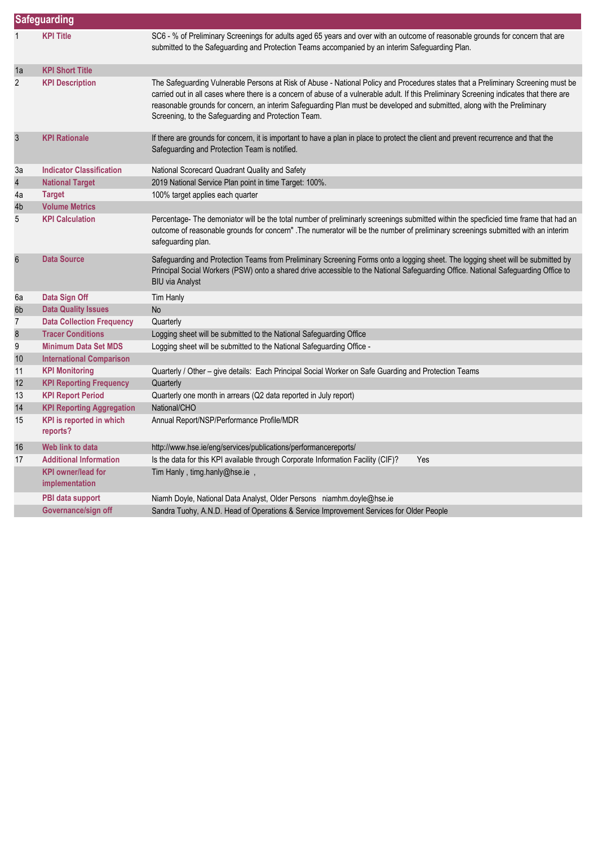|                  | Safeguarding                                |                                                                                                                                                                                                                                                                                                                                                                                                                                                                  |  |  |
|------------------|---------------------------------------------|------------------------------------------------------------------------------------------------------------------------------------------------------------------------------------------------------------------------------------------------------------------------------------------------------------------------------------------------------------------------------------------------------------------------------------------------------------------|--|--|
|                  | <b>KPI Title</b>                            | SC6 - % of Preliminary Screenings for adults aged 65 years and over with an outcome of reasonable grounds for concern that are<br>submitted to the Safeguarding and Protection Teams accompanied by an interim Safeguarding Plan.                                                                                                                                                                                                                                |  |  |
| 1a               | <b>KPI Short Title</b>                      |                                                                                                                                                                                                                                                                                                                                                                                                                                                                  |  |  |
| $\overline{2}$   | <b>KPI Description</b>                      | The Safeguarding Vulnerable Persons at Risk of Abuse - National Policy and Procedures states that a Preliminary Screening must be<br>carried out in all cases where there is a concern of abuse of a vulnerable adult. If this Preliminary Screening indicates that there are<br>reasonable grounds for concern, an interim Safeguarding Plan must be developed and submitted, along with the Preliminary<br>Screening, to the Safeguarding and Protection Team. |  |  |
| $\mathbf{3}$     | <b>KPI Rationale</b>                        | If there are grounds for concern, it is important to have a plan in place to protect the client and prevent recurrence and that the<br>Safeguarding and Protection Team is notified.                                                                                                                                                                                                                                                                             |  |  |
| За               | <b>Indicator Classification</b>             | National Scorecard Quadrant Quality and Safety                                                                                                                                                                                                                                                                                                                                                                                                                   |  |  |
| $\overline{4}$   | <b>National Target</b>                      | 2019 National Service Plan point in time Target: 100%.                                                                                                                                                                                                                                                                                                                                                                                                           |  |  |
| 4a               | <b>Target</b>                               | 100% target applies each quarter                                                                                                                                                                                                                                                                                                                                                                                                                                 |  |  |
| 4b               | <b>Volume Metrics</b>                       |                                                                                                                                                                                                                                                                                                                                                                                                                                                                  |  |  |
| 5                | <b>KPI Calculation</b>                      | Percentage- The demoniator will be the total number of preliminarly screenings submitted within the specficied time frame that had an<br>outcome of reasonable grounds for concern" .The numerator will be the number of preliminary screenings submitted with an interim<br>safeguarding plan.                                                                                                                                                                  |  |  |
| $6\phantom{.}6$  | <b>Data Source</b>                          | Safeguarding and Protection Teams from Preliminary Screening Forms onto a logging sheet. The logging sheet will be submitted by<br>Principal Social Workers (PSW) onto a shared drive accessible to the National Safeguarding Office. National Safeguarding Office to<br><b>BIU via Analyst</b>                                                                                                                                                                  |  |  |
| 6a               | Data Sign Off                               | Tim Hanly                                                                                                                                                                                                                                                                                                                                                                                                                                                        |  |  |
| 6b               | <b>Data Quality Issues</b>                  | <b>No</b>                                                                                                                                                                                                                                                                                                                                                                                                                                                        |  |  |
| 7                | <b>Data Collection Frequency</b>            | Quarterly                                                                                                                                                                                                                                                                                                                                                                                                                                                        |  |  |
| $\boldsymbol{8}$ | <b>Tracer Conditions</b>                    | Logging sheet will be submitted to the National Safeguarding Office                                                                                                                                                                                                                                                                                                                                                                                              |  |  |
| 9                | <b>Minimum Data Set MDS</b>                 | Logging sheet will be submitted to the National Safeguarding Office -                                                                                                                                                                                                                                                                                                                                                                                            |  |  |
| 10               | <b>International Comparison</b>             |                                                                                                                                                                                                                                                                                                                                                                                                                                                                  |  |  |
| 11               | <b>KPI Monitoring</b>                       | Quarterly / Other - give details: Each Principal Social Worker on Safe Guarding and Protection Teams                                                                                                                                                                                                                                                                                                                                                             |  |  |
| 12               | <b>KPI Reporting Frequency</b>              | Quarterly                                                                                                                                                                                                                                                                                                                                                                                                                                                        |  |  |
| 13               | <b>KPI Report Period</b>                    | Quarterly one month in arrears (Q2 data reported in July report)                                                                                                                                                                                                                                                                                                                                                                                                 |  |  |
| 14               | <b>KPI Reporting Aggregation</b>            | National/CHO                                                                                                                                                                                                                                                                                                                                                                                                                                                     |  |  |
| 15               | <b>KPI</b> is reported in which<br>reports? | Annual Report/NSP/Performance Profile/MDR                                                                                                                                                                                                                                                                                                                                                                                                                        |  |  |
| 16               | Web link to data                            | http://www.hse.ie/eng/services/publications/performancereports/                                                                                                                                                                                                                                                                                                                                                                                                  |  |  |
| 17               | <b>Additional Information</b>               | Is the data for this KPI available through Corporate Information Facility (CIF)?<br>Yes                                                                                                                                                                                                                                                                                                                                                                          |  |  |
|                  | <b>KPI owner/lead for</b><br>implementation | Tim Hanly, timg.hanly@hse.ie,                                                                                                                                                                                                                                                                                                                                                                                                                                    |  |  |
|                  | PBI data support                            | Niamh Doyle, National Data Analyst, Older Persons niamhm.doyle@hse.ie                                                                                                                                                                                                                                                                                                                                                                                            |  |  |
|                  | Governance/sign off                         | Sandra Tuohy, A.N.D. Head of Operations & Service Improvement Services for Older People                                                                                                                                                                                                                                                                                                                                                                          |  |  |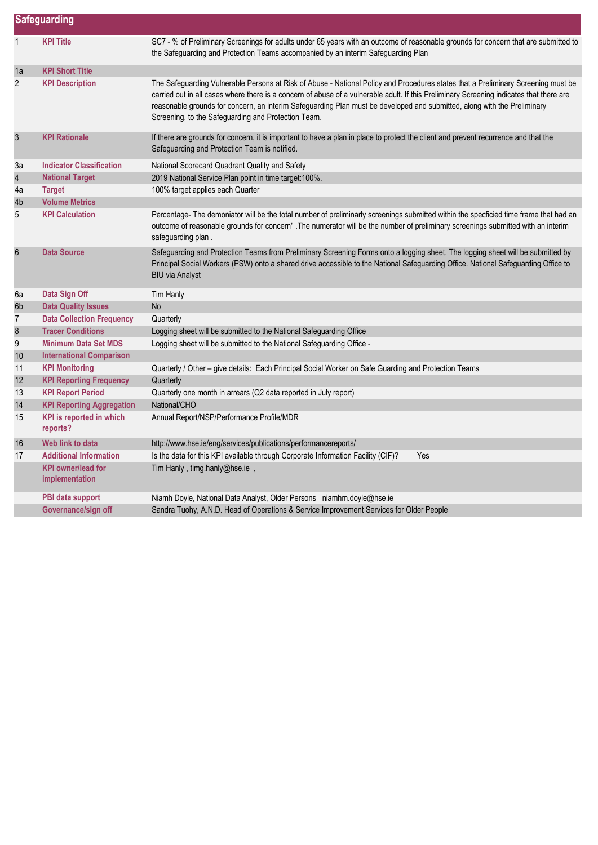|                         | Safeguarding                                |                                                                                                                                                                                                                                                                                                                                                                                                                                                                  |  |
|-------------------------|---------------------------------------------|------------------------------------------------------------------------------------------------------------------------------------------------------------------------------------------------------------------------------------------------------------------------------------------------------------------------------------------------------------------------------------------------------------------------------------------------------------------|--|
| $\mathbf{1}$            | <b>KPI Title</b>                            | SC7 - % of Preliminary Screenings for adults under 65 years with an outcome of reasonable grounds for concern that are submitted to<br>the Safeguarding and Protection Teams accompanied by an interim Safeguarding Plan                                                                                                                                                                                                                                         |  |
| 1a                      | <b>KPI Short Title</b>                      |                                                                                                                                                                                                                                                                                                                                                                                                                                                                  |  |
| $\overline{2}$          | <b>KPI Description</b>                      | The Safeguarding Vulnerable Persons at Risk of Abuse - National Policy and Procedures states that a Preliminary Screening must be<br>carried out in all cases where there is a concern of abuse of a vulnerable adult. If this Preliminary Screening indicates that there are<br>reasonable grounds for concern, an interim Safeguarding Plan must be developed and submitted, along with the Preliminary<br>Screening, to the Safeguarding and Protection Team. |  |
| $\mathfrak{Z}$          | <b>KPI Rationale</b>                        | If there are grounds for concern, it is important to have a plan in place to protect the client and prevent recurrence and that the<br>Safeguarding and Protection Team is notified.                                                                                                                                                                                                                                                                             |  |
| За                      | <b>Indicator Classification</b>             | National Scorecard Quadrant Quality and Safety                                                                                                                                                                                                                                                                                                                                                                                                                   |  |
| $\overline{\mathbf{4}}$ | <b>National Target</b>                      | 2019 National Service Plan point in time target:100%.                                                                                                                                                                                                                                                                                                                                                                                                            |  |
| 4a                      | <b>Target</b>                               | 100% target applies each Quarter                                                                                                                                                                                                                                                                                                                                                                                                                                 |  |
| 4b                      | <b>Volume Metrics</b>                       |                                                                                                                                                                                                                                                                                                                                                                                                                                                                  |  |
| 5                       | <b>KPI Calculation</b>                      | Percentage-The demoniator will be the total number of preliminarly screenings submitted within the specficied time frame that had an<br>outcome of reasonable grounds for concern" .The numerator will be the number of preliminary screenings submitted with an interim<br>safeguarding plan.                                                                                                                                                                   |  |
| $6\phantom{.}6$         | <b>Data Source</b>                          | Safeguarding and Protection Teams from Preliminary Screening Forms onto a logging sheet. The logging sheet will be submitted by<br>Principal Social Workers (PSW) onto a shared drive accessible to the National Safeguarding Office. National Safeguarding Office to<br><b>BIU via Analyst</b>                                                                                                                                                                  |  |
| 6a                      | Data Sign Off                               | Tim Hanly                                                                                                                                                                                                                                                                                                                                                                                                                                                        |  |
| 6b                      | <b>Data Quality Issues</b>                  | <b>No</b>                                                                                                                                                                                                                                                                                                                                                                                                                                                        |  |
| $\overline{7}$          | <b>Data Collection Frequency</b>            | Quarterly                                                                                                                                                                                                                                                                                                                                                                                                                                                        |  |
| $\boldsymbol{8}$        | <b>Tracer Conditions</b>                    | Logging sheet will be submitted to the National Safeguarding Office                                                                                                                                                                                                                                                                                                                                                                                              |  |
| 9                       | <b>Minimum Data Set MDS</b>                 | Logging sheet will be submitted to the National Safeguarding Office -                                                                                                                                                                                                                                                                                                                                                                                            |  |
| 10                      | <b>International Comparison</b>             |                                                                                                                                                                                                                                                                                                                                                                                                                                                                  |  |
| 11                      | <b>KPI Monitoring</b>                       | Quarterly / Other - give details: Each Principal Social Worker on Safe Guarding and Protection Teams                                                                                                                                                                                                                                                                                                                                                             |  |
| 12                      | <b>KPI Reporting Frequency</b>              | Quarterly                                                                                                                                                                                                                                                                                                                                                                                                                                                        |  |
| 13                      | <b>KPI Report Period</b>                    | Quarterly one month in arrears (Q2 data reported in July report)                                                                                                                                                                                                                                                                                                                                                                                                 |  |
| 14                      | <b>KPI Reporting Aggregation</b>            | National/CHO                                                                                                                                                                                                                                                                                                                                                                                                                                                     |  |
| 15                      | <b>KPI</b> is reported in which<br>reports? | Annual Report/NSP/Performance Profile/MDR                                                                                                                                                                                                                                                                                                                                                                                                                        |  |
| 16                      | Web link to data                            | http://www.hse.ie/eng/services/publications/performancereports/                                                                                                                                                                                                                                                                                                                                                                                                  |  |
| 17                      | <b>Additional Information</b>               | Is the data for this KPI available through Corporate Information Facility (CIF)?<br>Yes                                                                                                                                                                                                                                                                                                                                                                          |  |
|                         | <b>KPI owner/lead for</b><br>implementation | Tim Hanly, timg.hanly@hse.ie,                                                                                                                                                                                                                                                                                                                                                                                                                                    |  |
|                         | PBI data support                            | Niamh Doyle, National Data Analyst, Older Persons niamhm.doyle@hse.ie                                                                                                                                                                                                                                                                                                                                                                                            |  |
|                         | Governance/sign off                         | Sandra Tuohy, A.N.D. Head of Operations & Service Improvement Services for Older People                                                                                                                                                                                                                                                                                                                                                                          |  |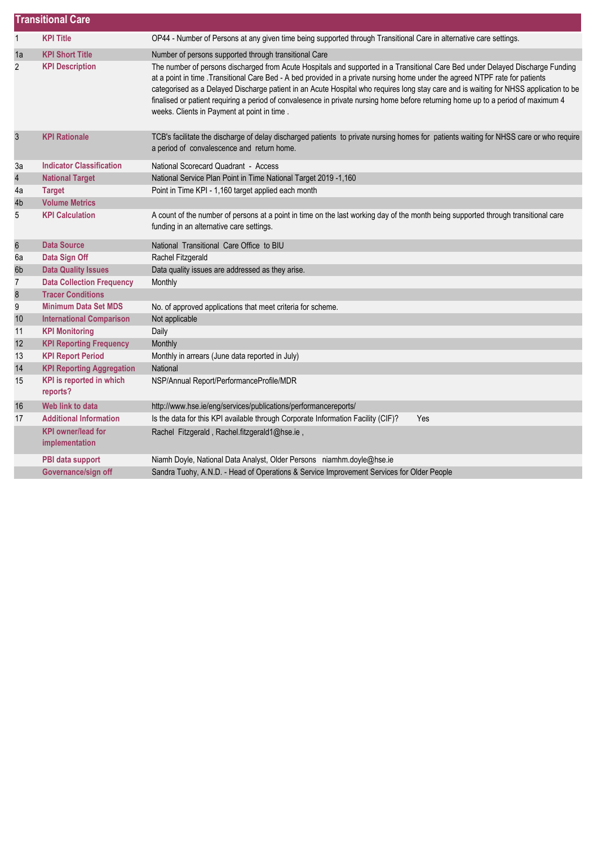|                | <b>Transitional Care</b>                    |                                                                                                                                                                                                                                                                                                                                                                                                                                                                                                                                                                                              |  |  |
|----------------|---------------------------------------------|----------------------------------------------------------------------------------------------------------------------------------------------------------------------------------------------------------------------------------------------------------------------------------------------------------------------------------------------------------------------------------------------------------------------------------------------------------------------------------------------------------------------------------------------------------------------------------------------|--|--|
| $\mathbf{1}$   | <b>KPI Title</b>                            | OP44 - Number of Persons at any given time being supported through Transitional Care in alternative care settings.                                                                                                                                                                                                                                                                                                                                                                                                                                                                           |  |  |
| 1a             | <b>KPI Short Title</b>                      | Number of persons supported through transitional Care                                                                                                                                                                                                                                                                                                                                                                                                                                                                                                                                        |  |  |
| $\overline{2}$ | <b>KPI Description</b>                      | The number of persons discharged from Acute Hospitals and supported in a Transitional Care Bed under Delayed Discharge Funding<br>at a point in time . Transitional Care Bed - A bed provided in a private nursing home under the agreed NTPF rate for patients<br>categorised as a Delayed Discharge patient in an Acute Hospital who requires long stay care and is waiting for NHSS application to be<br>finalised or patient requiring a period of convalesence in private nursing home before returning home up to a period of maximum 4<br>weeks. Clients in Payment at point in time. |  |  |
| $\mathfrak{S}$ | <b>KPI Rationale</b>                        | TCB's facilitate the discharge of delay discharged patients to private nursing homes for patients waiting for NHSS care or who require<br>a period of convalescence and return home.                                                                                                                                                                                                                                                                                                                                                                                                         |  |  |
| 3a             | <b>Indicator Classification</b>             | National Scorecard Quadrant - Access                                                                                                                                                                                                                                                                                                                                                                                                                                                                                                                                                         |  |  |
| $\overline{4}$ | <b>National Target</b>                      | National Service Plan Point in Time National Target 2019 -1,160                                                                                                                                                                                                                                                                                                                                                                                                                                                                                                                              |  |  |
| 4a             | <b>Target</b>                               | Point in Time KPI - 1,160 target applied each month                                                                                                                                                                                                                                                                                                                                                                                                                                                                                                                                          |  |  |
| 4b             | <b>Volume Metrics</b>                       |                                                                                                                                                                                                                                                                                                                                                                                                                                                                                                                                                                                              |  |  |
| 5              | <b>KPI Calculation</b>                      | A count of the number of persons at a point in time on the last working day of the month being supported through transitional care<br>funding in an alternative care settings.                                                                                                                                                                                                                                                                                                                                                                                                               |  |  |
| $\,6$          | <b>Data Source</b>                          | National Transitional Care Office to BIU                                                                                                                                                                                                                                                                                                                                                                                                                                                                                                                                                     |  |  |
| 6a             | Data Sign Off                               | Rachel Fitzgerald                                                                                                                                                                                                                                                                                                                                                                                                                                                                                                                                                                            |  |  |
| 6b             | <b>Data Quality Issues</b>                  | Data quality issues are addressed as they arise.                                                                                                                                                                                                                                                                                                                                                                                                                                                                                                                                             |  |  |
| $\overline{7}$ | <b>Data Collection Frequency</b>            | Monthly                                                                                                                                                                                                                                                                                                                                                                                                                                                                                                                                                                                      |  |  |
| $\bf 8$        | <b>Tracer Conditions</b>                    |                                                                                                                                                                                                                                                                                                                                                                                                                                                                                                                                                                                              |  |  |
| 9              | <b>Minimum Data Set MDS</b>                 | No. of approved applications that meet criteria for scheme.                                                                                                                                                                                                                                                                                                                                                                                                                                                                                                                                  |  |  |
| 10             | <b>International Comparison</b>             | Not applicable                                                                                                                                                                                                                                                                                                                                                                                                                                                                                                                                                                               |  |  |
| 11             | <b>KPI Monitoring</b>                       | Daily                                                                                                                                                                                                                                                                                                                                                                                                                                                                                                                                                                                        |  |  |
| 12             | <b>KPI Reporting Frequency</b>              | Monthly                                                                                                                                                                                                                                                                                                                                                                                                                                                                                                                                                                                      |  |  |
| 13             | <b>KPI Report Period</b>                    | Monthly in arrears (June data reported in July)                                                                                                                                                                                                                                                                                                                                                                                                                                                                                                                                              |  |  |
| 14             | <b>KPI Reporting Aggregation</b>            | National                                                                                                                                                                                                                                                                                                                                                                                                                                                                                                                                                                                     |  |  |
| 15             | KPI is reported in which<br>reports?        | NSP/Annual Report/PerformanceProfile/MDR                                                                                                                                                                                                                                                                                                                                                                                                                                                                                                                                                     |  |  |
| 16             | Web link to data                            | http://www.hse.ie/eng/services/publications/performancereports/                                                                                                                                                                                                                                                                                                                                                                                                                                                                                                                              |  |  |
| 17             | <b>Additional Information</b>               | Is the data for this KPI available through Corporate Information Facility (CIF)?<br>Yes                                                                                                                                                                                                                                                                                                                                                                                                                                                                                                      |  |  |
|                | <b>KPI owner/lead for</b><br>implementation | Rachel Fitzgerald, Rachel.fitzgerald1@hse.ie,                                                                                                                                                                                                                                                                                                                                                                                                                                                                                                                                                |  |  |
|                | PBI data support                            | Niamh Doyle, National Data Analyst, Older Persons niamhm.doyle@hse.ie                                                                                                                                                                                                                                                                                                                                                                                                                                                                                                                        |  |  |
|                | Governance/sign off                         | Sandra Tuohy, A.N.D. - Head of Operations & Service Improvement Services for Older People                                                                                                                                                                                                                                                                                                                                                                                                                                                                                                    |  |  |
|                |                                             |                                                                                                                                                                                                                                                                                                                                                                                                                                                                                                                                                                                              |  |  |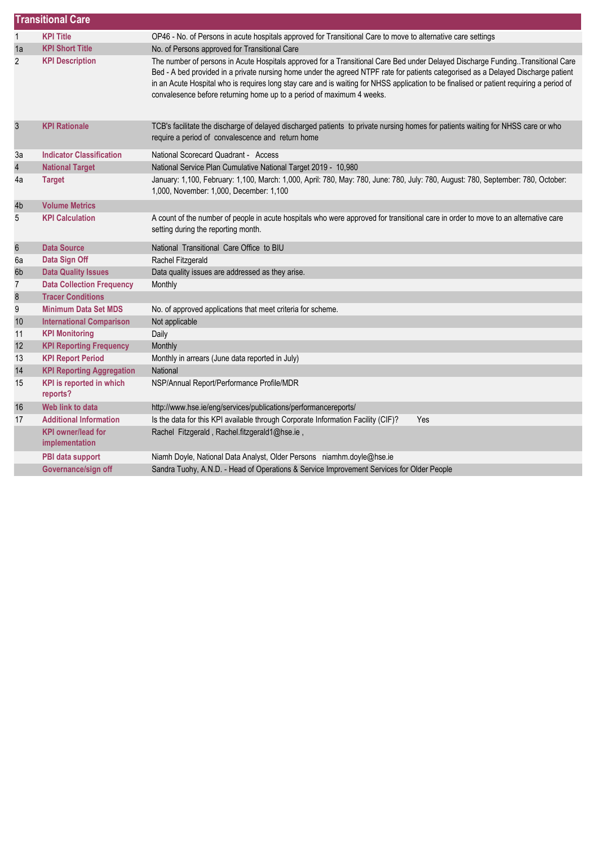|                         | <b>Transitional Care</b>                    |                                                                                                                                                                                                                                                                                                                                                                                                                                                                                            |  |  |  |
|-------------------------|---------------------------------------------|--------------------------------------------------------------------------------------------------------------------------------------------------------------------------------------------------------------------------------------------------------------------------------------------------------------------------------------------------------------------------------------------------------------------------------------------------------------------------------------------|--|--|--|
| $\mathbf{1}$            | <b>KPI Title</b>                            | OP46 - No. of Persons in acute hospitals approved for Transitional Care to move to alternative care settings                                                                                                                                                                                                                                                                                                                                                                               |  |  |  |
| 1a                      | <b>KPI Short Title</b>                      | No. of Persons approved for Transitional Care                                                                                                                                                                                                                                                                                                                                                                                                                                              |  |  |  |
| $\overline{c}$          | <b>KPI Description</b>                      | The number of persons in Acute Hospitals approved for a Transitional Care Bed under Delayed Discharge Funding. Transitional Care<br>Bed - A bed provided in a private nursing home under the agreed NTPF rate for patients categorised as a Delayed Discharge patient<br>in an Acute Hospital who is requires long stay care and is waiting for NHSS application to be finalised or patient requiring a period of<br>convalesence before returning home up to a period of maximum 4 weeks. |  |  |  |
| $\mathfrak{z}$          | <b>KPI Rationale</b>                        | TCB's facilitate the discharge of delayed discharged patients to private nursing homes for patients waiting for NHSS care or who<br>require a period of convalescence and return home                                                                                                                                                                                                                                                                                                      |  |  |  |
| 3a                      | <b>Indicator Classification</b>             | National Scorecard Quadrant - Access                                                                                                                                                                                                                                                                                                                                                                                                                                                       |  |  |  |
| $\overline{\mathbf{r}}$ | <b>National Target</b>                      | National Service Plan Cumulative National Target 2019 - 10,980                                                                                                                                                                                                                                                                                                                                                                                                                             |  |  |  |
| 4a                      | <b>Target</b>                               | January: 1,100, February: 1,100, March: 1,000, April: 780, May: 780, June: 780, July: 780, August: 780, September: 780, October:<br>1,000, November: 1,000, December: 1,100                                                                                                                                                                                                                                                                                                                |  |  |  |
| 4b                      | <b>Volume Metrics</b>                       |                                                                                                                                                                                                                                                                                                                                                                                                                                                                                            |  |  |  |
| 5                       | <b>KPI Calculation</b>                      | A count of the number of people in acute hospitals who were approved for transitional care in order to move to an alternative care<br>setting during the reporting month.                                                                                                                                                                                                                                                                                                                  |  |  |  |
| $\boldsymbol{6}$        | <b>Data Source</b>                          | National Transitional Care Office to BIU                                                                                                                                                                                                                                                                                                                                                                                                                                                   |  |  |  |
| 6a                      | Data Sign Off                               | Rachel Fitzgerald                                                                                                                                                                                                                                                                                                                                                                                                                                                                          |  |  |  |
| 6b                      | <b>Data Quality Issues</b>                  | Data quality issues are addressed as they arise.                                                                                                                                                                                                                                                                                                                                                                                                                                           |  |  |  |
| 7                       | <b>Data Collection Frequency</b>            | Monthly                                                                                                                                                                                                                                                                                                                                                                                                                                                                                    |  |  |  |
| $\bf 8$                 | <b>Tracer Conditions</b>                    |                                                                                                                                                                                                                                                                                                                                                                                                                                                                                            |  |  |  |
| 9                       | <b>Minimum Data Set MDS</b>                 | No. of approved applications that meet criteria for scheme.                                                                                                                                                                                                                                                                                                                                                                                                                                |  |  |  |
| $10$                    | <b>International Comparison</b>             | Not applicable                                                                                                                                                                                                                                                                                                                                                                                                                                                                             |  |  |  |
| 11                      | <b>KPI Monitoring</b>                       | Daily                                                                                                                                                                                                                                                                                                                                                                                                                                                                                      |  |  |  |
| 12                      | <b>KPI Reporting Frequency</b>              | Monthly                                                                                                                                                                                                                                                                                                                                                                                                                                                                                    |  |  |  |
| 13                      | <b>KPI Report Period</b>                    | Monthly in arrears (June data reported in July)                                                                                                                                                                                                                                                                                                                                                                                                                                            |  |  |  |
| 14                      | <b>KPI Reporting Aggregation</b>            | National                                                                                                                                                                                                                                                                                                                                                                                                                                                                                   |  |  |  |
| 15                      | <b>KPI</b> is reported in which<br>reports? | NSP/Annual Report/Performance Profile/MDR                                                                                                                                                                                                                                                                                                                                                                                                                                                  |  |  |  |
| 16                      | Web link to data                            | http://www.hse.ie/eng/services/publications/performancereports/                                                                                                                                                                                                                                                                                                                                                                                                                            |  |  |  |
| 17                      | <b>Additional Information</b>               | Is the data for this KPI available through Corporate Information Facility (CIF)?<br>Yes                                                                                                                                                                                                                                                                                                                                                                                                    |  |  |  |
|                         | <b>KPI owner/lead for</b><br>implementation | Rachel Fitzgerald, Rachel.fitzgerald1@hse.ie,                                                                                                                                                                                                                                                                                                                                                                                                                                              |  |  |  |
|                         | PBI data support                            | Niamh Doyle, National Data Analyst, Older Persons niamhm.doyle@hse.ie                                                                                                                                                                                                                                                                                                                                                                                                                      |  |  |  |
|                         | Governance/sign off                         | Sandra Tuohy, A.N.D. - Head of Operations & Service Improvement Services for Older People                                                                                                                                                                                                                                                                                                                                                                                                  |  |  |  |